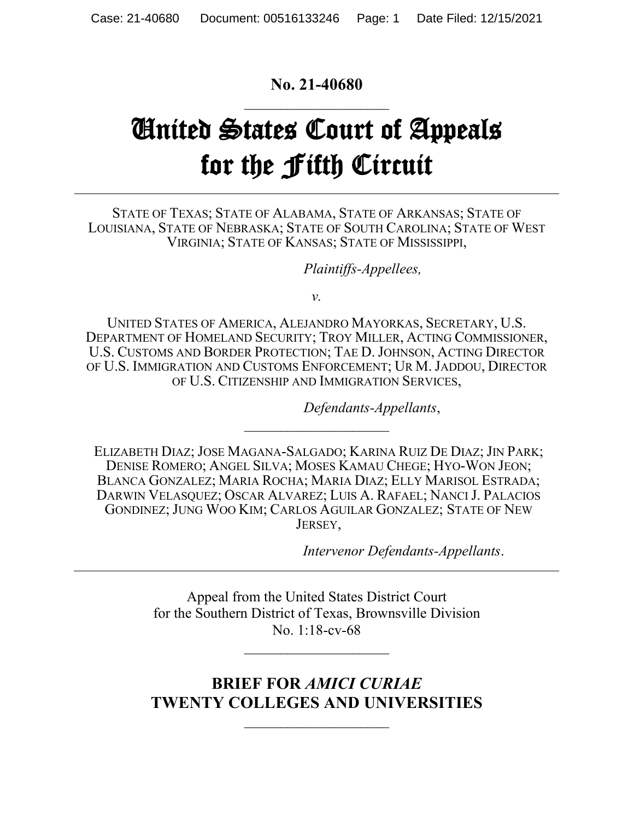## **No. 21-40680**  $\overline{\phantom{a}}$

# United States Court of Appeals for the Fifth Circuit

STATE OF TEXAS; STATE OF ALABAMA, STATE OF ARKANSAS; STATE OF LOUISIANA, STATE OF NEBRASKA; STATE OF SOUTH CAROLINA; STATE OF WEST VIRGINIA; STATE OF KANSAS; STATE OF MISSISSIPPI,

*Plaintiffs-Appellees,*

*v.*

UNITED STATES OF AMERICA, ALEJANDRO MAYORKAS, SECRETARY, U.S. DEPARTMENT OF HOMELAND SECURITY; TROY MILLER, ACTING COMMISSIONER, U.S. CUSTOMS AND BORDER PROTECTION; TAE D.JOHNSON, ACTING DIRECTOR OF U.S. IMMIGRATION AND CUSTOMS ENFORCEMENT; UR M.JADDOU, DIRECTOR OF U.S. CITIZENSHIP AND IMMIGRATION SERVICES,

*Defendants-Appellants*,

ELIZABETH DIAZ; JOSE MAGANA-SALGADO; KARINA RUIZ DE DIAZ; JIN PARK; DENISE ROMERO; ANGEL SILVA; MOSES KAMAU CHEGE; HYO-WON JEON; BLANCA GONZALEZ; MARIA ROCHA; MARIA DIAZ; ELLY MARISOL ESTRADA; DARWIN VELASQUEZ; OSCAR ALVAREZ; LUIS A. RAFAEL; NANCI J. PALACIOS GONDINEZ; JUNG WOO KIM; CARLOS AGUILAR GONZALEZ; STATE OF NEW JERSEY,

 $\overline{\phantom{a}}$  , where  $\overline{\phantom{a}}$  , where  $\overline{\phantom{a}}$ 

*Intervenor Defendants-Appellants*.

Appeal from the United States District Court for the Southern District of Texas, Brownsville Division No. 1:18-cv-68

 $\overline{\phantom{a}}$  , where  $\overline{\phantom{a}}$ 

# **BRIEF FOR** *AMICI CURIAE* **TWENTY COLLEGES AND UNIVERSITIES**

 $\overline{\phantom{a}}$  , where  $\overline{\phantom{a}}$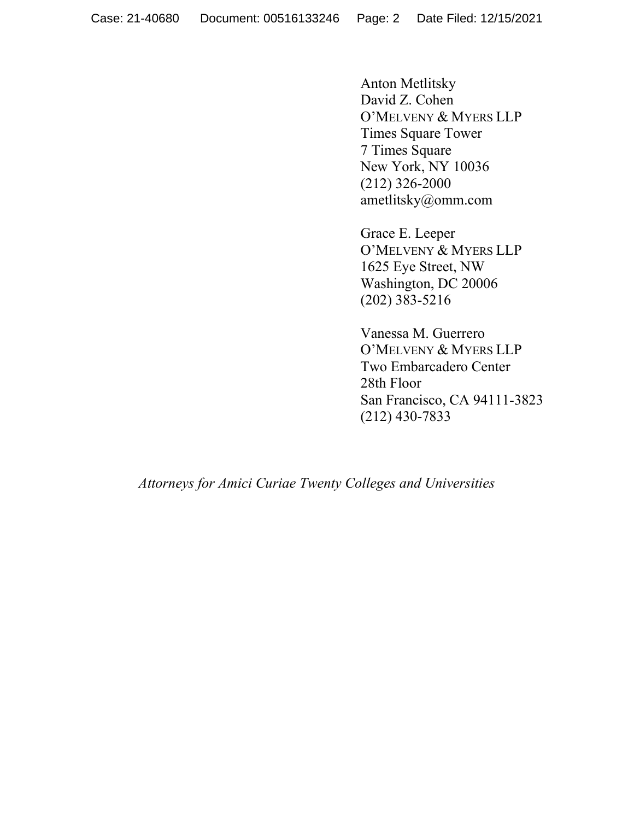Anton Metlitsky David Z. Cohen O'MELVENY & MYERS LLP Times Square Tower 7 Times Square New York, NY 10036 (212) 326-2000 ametlitsky@omm.com

Grace E. Leeper O'MELVENY & MYERS LLP 1625 Eye Street, NW Washington, DC 20006 (202) 383-5216

Vanessa M. Guerrero O'MELVENY & MYERS LLP Two Embarcadero Center 28th Floor San Francisco, CA 94111-3823 (212) 430-7833

*Attorneys for Amici Curiae Twenty Colleges and Universities*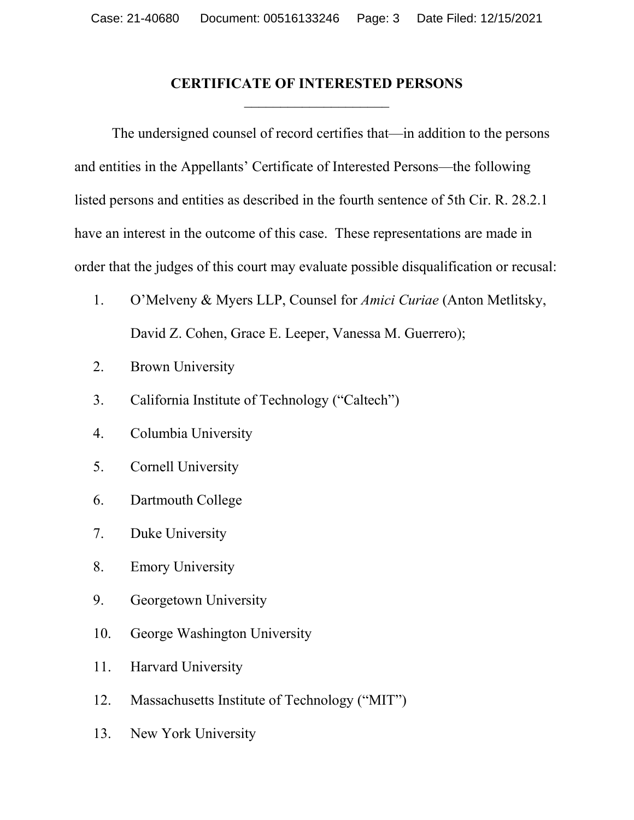## **CERTIFICATE OF INTERESTED PERSONS**  $\overline{\phantom{a}}$

The undersigned counsel of record certifies that—in addition to the persons and entities in the Appellants' Certificate of Interested Persons—the following listed persons and entities as described in the fourth sentence of 5th Cir. R. 28.2.1 have an interest in the outcome of this case. These representations are made in order that the judges of this court may evaluate possible disqualification or recusal:

- 1. O'Melveny & Myers LLP, Counsel for *Amici Curiae* (Anton Metlitsky, David Z. Cohen, Grace E. Leeper, Vanessa M. Guerrero);
- 2. Brown University
- 3. California Institute of Technology ("Caltech")
- 4. Columbia University
- 5. Cornell University
- 6. Dartmouth College
- 7. Duke University
- 8. Emory University
- 9. Georgetown University
- 10. George Washington University
- 11. Harvard University
- 12. Massachusetts Institute of Technology ("MIT")
- 13. New York University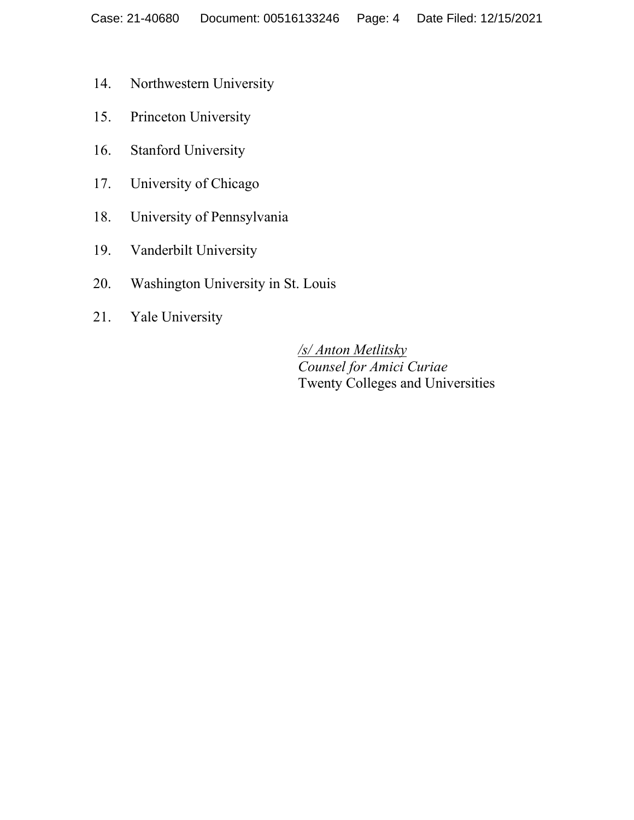- 14. Northwestern University
- 15. Princeton University
- 16. Stanford University
- 17. University of Chicago
- 18. University of Pennsylvania
- 19. Vanderbilt University
- 20. Washington University in St. Louis
- 21. Yale University

*/s/ Anton Metlitsky Counsel for Amici Curiae* Twenty Colleges and Universities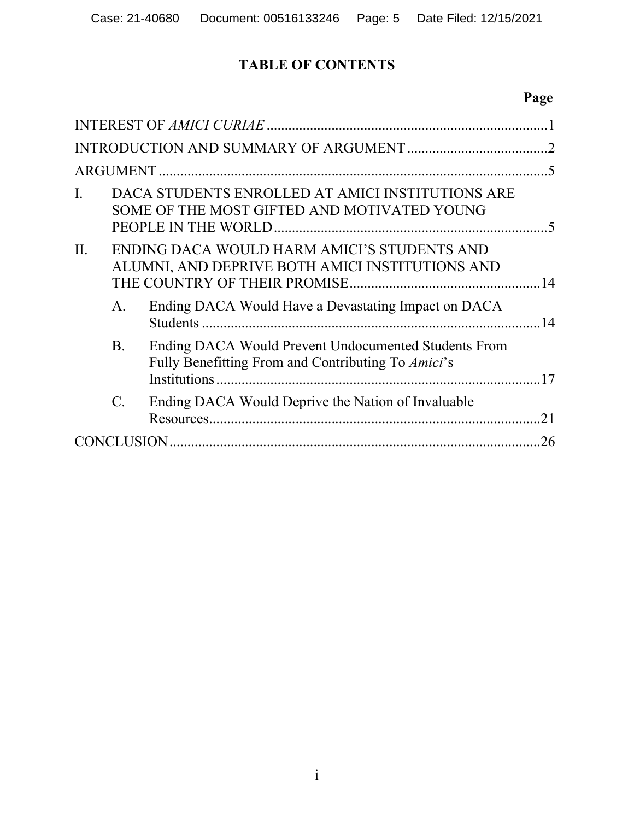# **TABLE OF CONTENTS**

# **Page**

| I.  |                | DACA STUDENTS ENROLLED AT AMICI INSTITUTIONS ARE<br>SOME OF THE MOST GIFTED AND MOTIVATED YOUNG            |    |  |  |  |
|-----|----------------|------------------------------------------------------------------------------------------------------------|----|--|--|--|
| II. |                | ENDING DACA WOULD HARM AMICI'S STUDENTS AND<br>ALUMNI, AND DEPRIVE BOTH AMICI INSTITUTIONS AND             |    |  |  |  |
|     | A.             | Ending DACA Would Have a Devastating Impact on DACA                                                        |    |  |  |  |
|     | <b>B.</b>      | Ending DACA Would Prevent Undocumented Students From<br>Fully Benefitting From and Contributing To Amici's | 17 |  |  |  |
|     | $\mathbf{C}$ . | Ending DACA Would Deprive the Nation of Invaluable                                                         | 21 |  |  |  |
|     | 26             |                                                                                                            |    |  |  |  |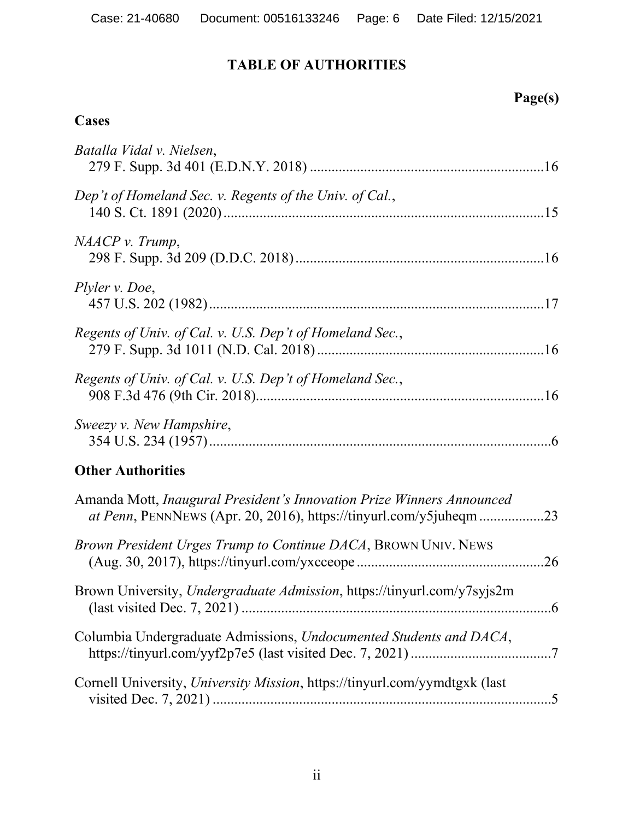# **TABLE OF AUTHORITIES**

# **Page(s)**

## **Cases**

| Batalla Vidal v. Nielsen,                                                                                                                          |
|----------------------------------------------------------------------------------------------------------------------------------------------------|
| Dep't of Homeland Sec. v. Regents of the Univ. of Cal.,                                                                                            |
| NAACP v. Trump,                                                                                                                                    |
| Plyler v. Doe,                                                                                                                                     |
| Regents of Univ. of Cal. v. U.S. Dep't of Homeland Sec.,                                                                                           |
| Regents of Univ. of Cal. v. U.S. Dep't of Homeland Sec.,                                                                                           |
| Sweezy v. New Hampshire,                                                                                                                           |
| <b>Other Authorities</b>                                                                                                                           |
| Amanda Mott, Inaugural President's Innovation Prize Winners Announced<br><i>at Penn</i> , PENNNEWS (Apr. 20, 2016), https://tinyurl.com/y5juheqm23 |
| Brown President Urges Trump to Continue DACA, BROWN UNIV. NEWS                                                                                     |
| Brown University, Undergraduate Admission, https://tinyurl.com/y7syjs2m<br>$.6\,$                                                                  |
| Columbia Undergraduate Admissions, Undocumented Students and DACA,                                                                                 |
| Cornell University, University Mission, https://tinyurl.com/yymdtgxk (last                                                                         |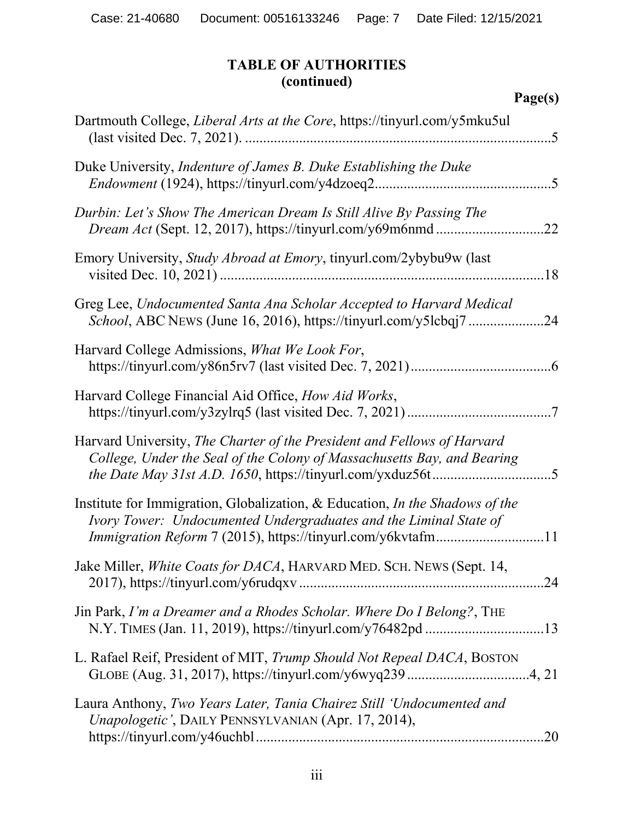## **TABLE OF AUTHORITIES (continued)**

| Dartmouth College, Liberal Arts at the Core, https://tinyurl.com/y5mku5ul                                                                                                                                        |
|------------------------------------------------------------------------------------------------------------------------------------------------------------------------------------------------------------------|
| Duke University, Indenture of James B. Duke Establishing the Duke                                                                                                                                                |
| Durbin: Let's Show The American Dream Is Still Alive By Passing The<br>.22                                                                                                                                       |
| Emory University, Study Abroad at Emory, tinyurl.com/2ybybu9w (last                                                                                                                                              |
| Greg Lee, Undocumented Santa Ana Scholar Accepted to Harvard Medical<br>School, ABC NEWS (June 16, 2016), https://tinyurl.com/y5lcbqj724                                                                         |
| Harvard College Admissions, What We Look For,                                                                                                                                                                    |
| Harvard College Financial Aid Office, How Aid Works,                                                                                                                                                             |
| Harvard University, The Charter of the President and Fellows of Harvard<br>College, Under the Seal of the Colony of Massachusetts Bay, and Bearing                                                               |
| Institute for Immigration, Globalization, & Education, In the Shadows of the<br>Ivory Tower: Undocumented Undergraduates and the Liminal State of<br>Immigration Reform 7 (2015), https://tinyurl.com/y6kvtafm11 |
| Jake Miller, White Coats for DACA, HARVARD MED. SCH. NEWS (Sept. 14,                                                                                                                                             |
| Jin Park, I'm a Dreamer and a Rhodes Scholar. Where Do I Belong?, THE                                                                                                                                            |
| L. Rafael Reif, President of MIT, Trump Should Not Repeal DACA, BOSTON                                                                                                                                           |
| Laura Anthony, Two Years Later, Tania Chairez Still 'Undocumented and<br>Unapologetic', DAILY PENNSYLVANIAN (Apr. 17, 2014),                                                                                     |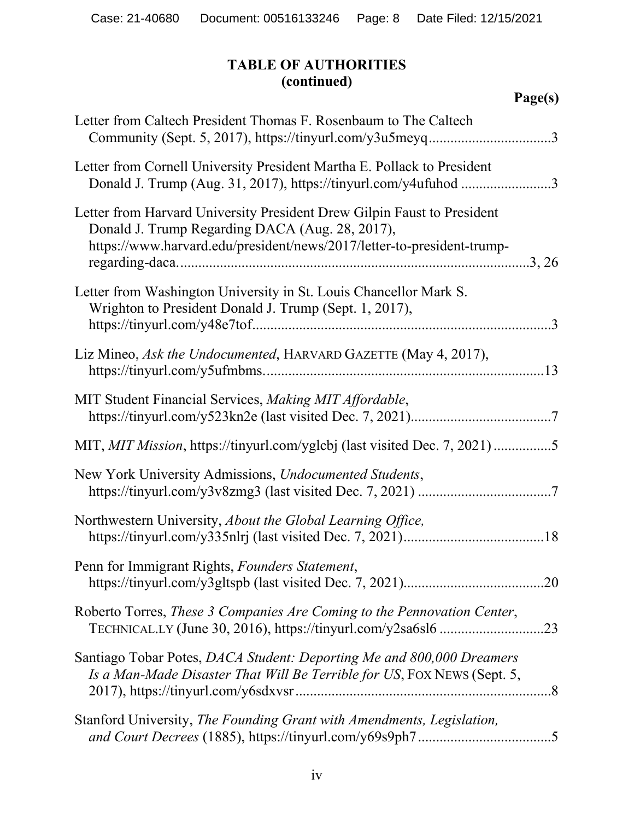## **TABLE OF AUTHORITIES (continued)**

| 'age(s) |  |
|---------|--|
|---------|--|

| Letter from Caltech President Thomas F. Rosenbaum to The Caltech<br>Community (Sept. 5, 2017), https://tinyurl.com/y3u5meyq3                                                                         |
|------------------------------------------------------------------------------------------------------------------------------------------------------------------------------------------------------|
| Letter from Cornell University President Martha E. Pollack to President<br>Donald J. Trump (Aug. 31, 2017), https://tinyurl.com/y4ufuhod 3                                                           |
| Letter from Harvard University President Drew Gilpin Faust to President<br>Donald J. Trump Regarding DACA (Aug. 28, 2017),<br>https://www.harvard.edu/president/news/2017/letter-to-president-trump- |
| Letter from Washington University in St. Louis Chancellor Mark S.<br>Wrighton to President Donald J. Trump (Sept. 1, 2017),                                                                          |
| Liz Mineo, Ask the Undocumented, HARVARD GAZETTE (May 4, 2017),                                                                                                                                      |
| MIT Student Financial Services, Making MIT Affordable,                                                                                                                                               |
| MIT, MIT Mission, https://tinyurl.com/yglcbj (last visited Dec. 7, 2021)5                                                                                                                            |
| New York University Admissions, Undocumented Students,                                                                                                                                               |
| Northwestern University, About the Global Learning Office,                                                                                                                                           |
| Penn for Immigrant Rights, Founders Statement,                                                                                                                                                       |
| Roberto Torres, These 3 Companies Are Coming to the Pennovation Center,                                                                                                                              |
| Santiago Tobar Potes, DACA Student: Deporting Me and 800,000 Dreamers<br>Is a Man-Made Disaster That Will Be Terrible for US, FOX NEWS (Sept. 5,                                                     |
| Stanford University, The Founding Grant with Amendments, Legislation,                                                                                                                                |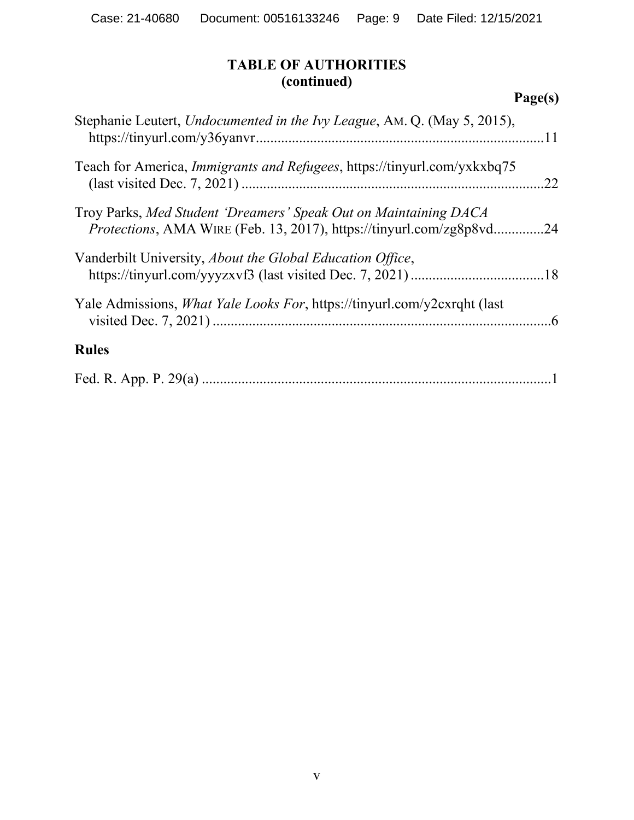## **TABLE OF AUTHORITIES (continued)**

| Stephanie Leutert, Undocumented in the Ivy League, AM. Q. (May 5, 2015),                                                               |     |
|----------------------------------------------------------------------------------------------------------------------------------------|-----|
| Teach for America, <i>Immigrants and Refugees</i> , https://tinyurl.com/yxkxbq75                                                       | .22 |
| Troy Parks, Med Student 'Dreamers' Speak Out on Maintaining DACA<br>Protections, AMA WIRE (Feb. 13, 2017), https://tinyurl.com/zg8p8vd | .24 |
| Vanderbilt University, About the Global Education Office,                                                                              |     |
| Yale Admissions, <i>What Yale Looks For</i> , https://tinyurl.com/y2cxrqht (last                                                       |     |
| <b>Rules</b>                                                                                                                           |     |
|                                                                                                                                        |     |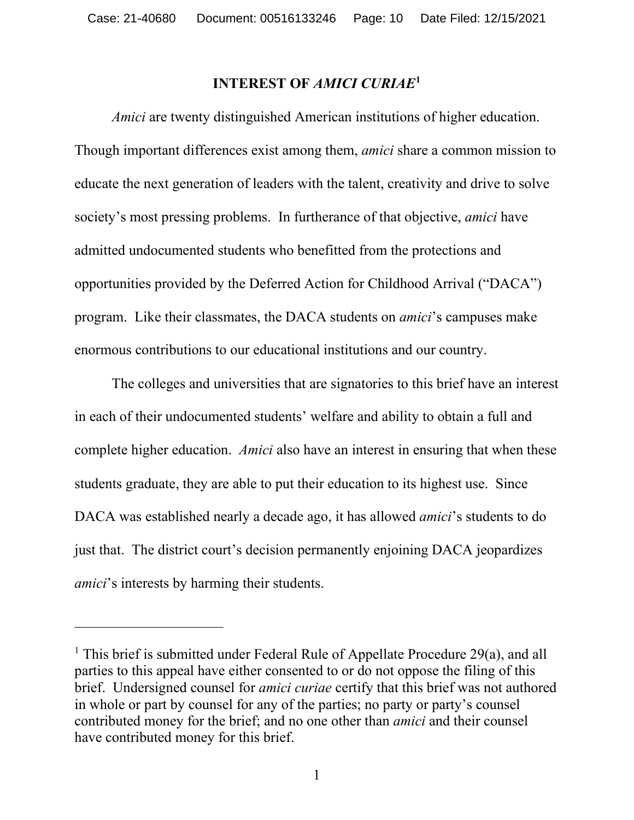#### **INTEREST OF** *AMICI CURIAE***[1](#page-9-1)**

<span id="page-9-0"></span>*Amici* are twenty distinguished American institutions of higher education. Though important differences exist among them, *amici* share a common mission to educate the next generation of leaders with the talent, creativity and drive to solve society's most pressing problems. In furtherance of that objective, *amici* have admitted undocumented students who benefitted from the protections and opportunities provided by the Deferred Action for Childhood Arrival ("DACA") program. Like their classmates, the DACA students on *amici*'s campuses make enormous contributions to our educational institutions and our country.

The colleges and universities that are signatories to this brief have an interest in each of their undocumented students' welfare and ability to obtain a full and complete higher education. *Amici* also have an interest in ensuring that when these students graduate, they are able to put their education to its highest use. Since DACA was established nearly a decade ago, it has allowed *amici*'s students to do just that. The district court's decision permanently enjoining DACA jeopardizes *amici*'s interests by harming their students.

<span id="page-9-1"></span><sup>&</sup>lt;sup>1</sup> This brief is submitted under Federal Rule of Appellate Procedure 29(a), and all parties to this appeal have either consented to or do not oppose the filing of this brief. Undersigned counsel for *amici curiae* certify that this brief was not authored in whole or part by counsel for any of the parties; no party or party's counsel contributed money for the brief; and no one other than *amici* and their counsel have contributed money for this brief.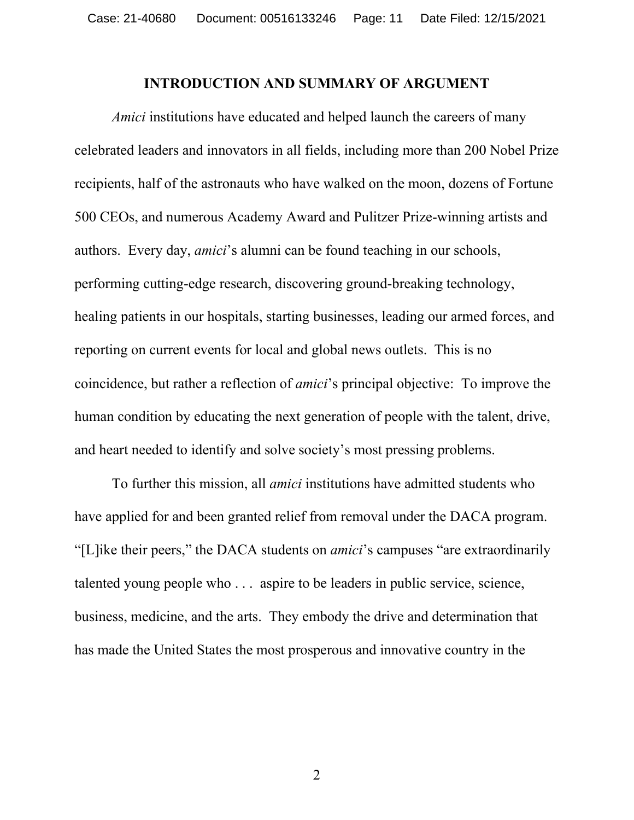#### **INTRODUCTION AND SUMMARY OF ARGUMENT**

<span id="page-10-0"></span>*Amici* institutions have educated and helped launch the careers of many celebrated leaders and innovators in all fields, including more than 200 Nobel Prize recipients, half of the astronauts who have walked on the moon, dozens of Fortune 500 CEOs, and numerous Academy Award and Pulitzer Prize-winning artists and authors. Every day, *amici*'s alumni can be found teaching in our schools, performing cutting-edge research, discovering ground-breaking technology, healing patients in our hospitals, starting businesses, leading our armed forces, and reporting on current events for local and global news outlets. This is no coincidence, but rather a reflection of *amici*'s principal objective: To improve the human condition by educating the next generation of people with the talent, drive, and heart needed to identify and solve society's most pressing problems.

To further this mission, all *amici* institutions have admitted students who have applied for and been granted relief from removal under the DACA program. "[L]ike their peers," the DACA students on *amici*'s campuses "are extraordinarily talented young people who . . . aspire to be leaders in public service, science, business, medicine, and the arts. They embody the drive and determination that has made the United States the most prosperous and innovative country in the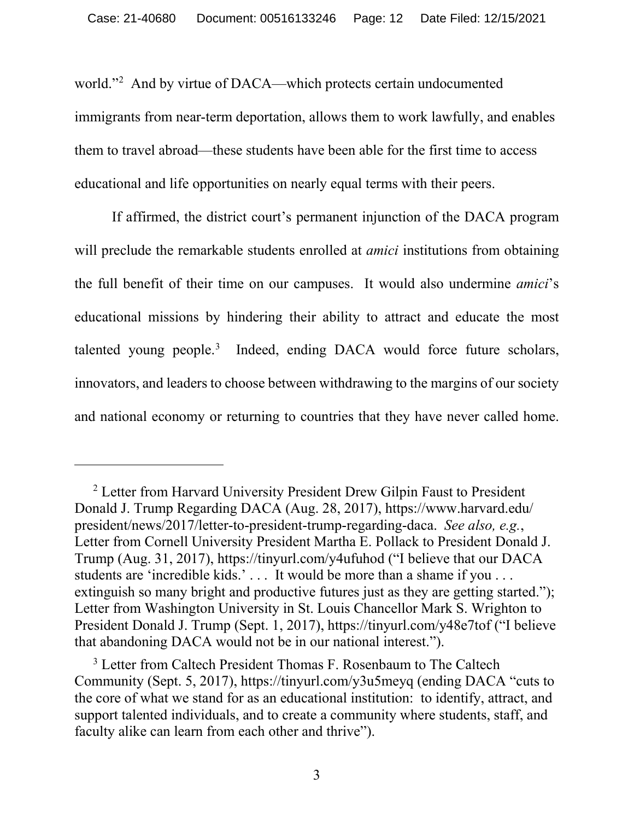world."[2](#page-12-0) And by virtue of DACA—which protects certain undocumented immigrants from near-term deportation, allows them to work lawfully, and enables them to travel abroad—these students have been able for the first time to access educational and life opportunities on nearly equal terms with their peers.

If affirmed, the district court's permanent injunction of the DACA program will preclude the remarkable students enrolled at *amici* institutions from obtaining the full benefit of their time on our campuses. It would also undermine *amici*'s educational missions by hindering their ability to attract and educate the most talented young people.<sup>[3](#page-13-2)</sup> Indeed, ending DACA would force future scholars, innovators, and leaders to choose between withdrawing to the margins of our society and national economy or returning to countries that they have never called home.

<sup>&</sup>lt;sup>2</sup> Letter from Harvard University President Drew Gilpin Faust to President Donald J. Trump Regarding DACA (Aug. 28, 2017), https://www.harvard.edu/ president/news/2017/letter-to-president-trump-regarding-daca. *See also, e.g.*, Letter from Cornell University President Martha E. Pollack to President Donald J. Trump (Aug. 31, 2017), https://tinyurl.com/y4ufuhod ("I believe that our DACA students are 'incredible kids.' . . . It would be more than a shame if you . . . extinguish so many bright and productive futures just as they are getting started."); Letter from Washington University in St. Louis Chancellor Mark S. Wrighton to President Donald J. Trump (Sept. 1, 2017), https://tinyurl.com/y48e7tof ("I believe that abandoning DACA would not be in our national interest.").

<sup>&</sup>lt;sup>3</sup> Letter from Caltech President Thomas F. Rosenbaum to The Caltech Community (Sept. 5, 2017), https://tinyurl.com/y3u5meyq (ending DACA "cuts to the core of what we stand for as an educational institution: to identify, attract, and support talented individuals, and to create a community where students, staff, and faculty alike can learn from each other and thrive").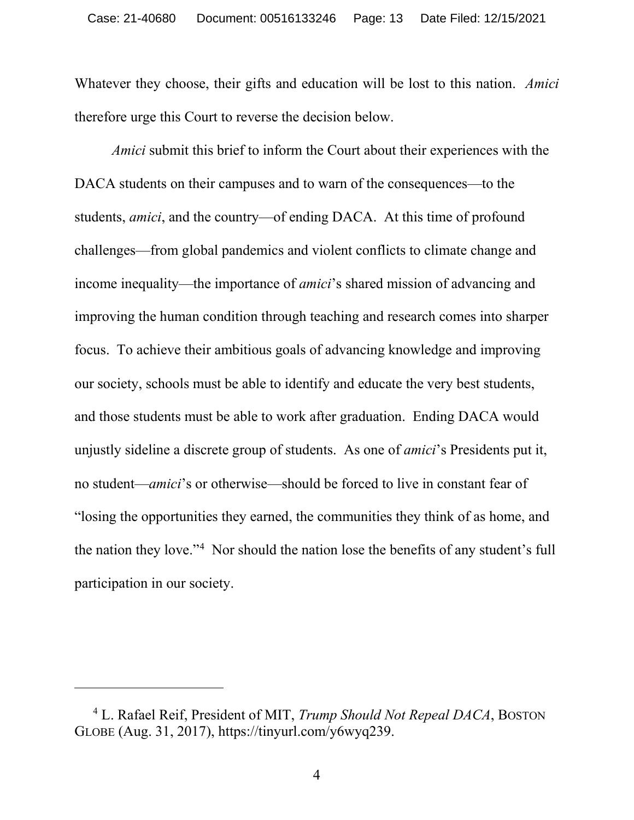Whatever they choose, their gifts and education will be lost to this nation. *Amici* therefore urge this Court to reverse the decision below.

<span id="page-12-0"></span>*Amici* submit this brief to inform the Court about their experiences with the DACA students on their campuses and to warn of the consequences—to the students, *amici*, and the country—of ending DACA. At this time of profound challenges—from global pandemics and violent conflicts to climate change and income inequality—the importance of *amici*'s shared mission of advancing and improving the human condition through teaching and research comes into sharper focus. To achieve their ambitious goals of advancing knowledge and improving our society, schools must be able to identify and educate the very best students, and those students must be able to work after graduation. Ending DACA would unjustly sideline a discrete group of students. As one of *amici*'s Presidents put it, no student—*amici*'s or otherwise—should be forced to live in constant fear of "losing the opportunities they earned, the communities they think of as home, and the nation they love."<sup>[4](#page-14-0)</sup> Nor should the nation lose the benefits of any student's full participation in our society.

<sup>4</sup> L. Rafael Reif, President of MIT, *Trump Should Not Repeal DACA*, BOSTON GLOBE (Aug. 31, 2017), https://tinyurl.com/y6wyq239.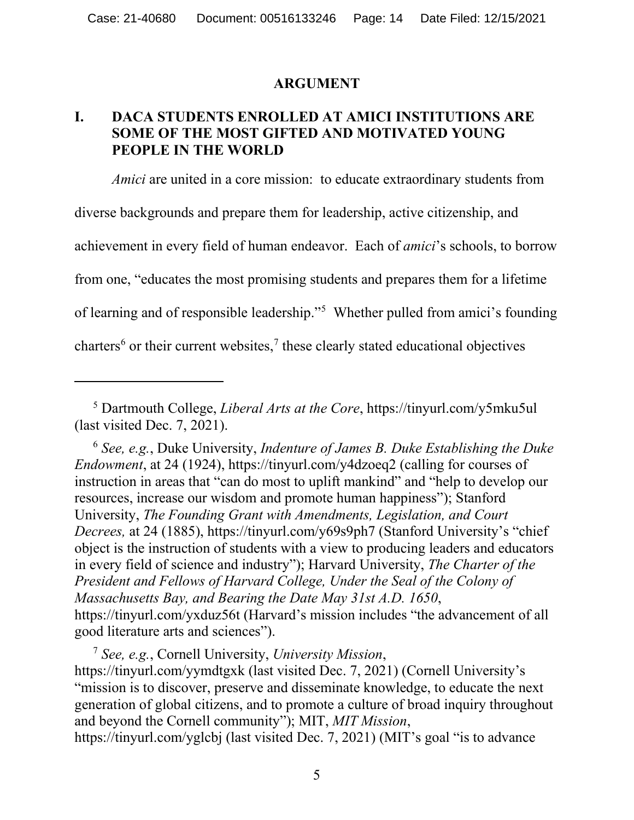#### **ARGUMENT**

## <span id="page-13-1"></span><span id="page-13-0"></span>**I. DACA STUDENTS ENROLLED AT AMICI INSTITUTIONS ARE SOME OF THE MOST GIFTED AND MOTIVATED YOUNG PEOPLE IN THE WORLD**

*Amici* are united in a core mission: to educate extraordinary students from diverse backgrounds and prepare them for leadership, active citizenship, and achievement in every field of human endeavor. Each of *amici*'s schools, to borrow from one, "educates the most promising students and prepares them for a lifetime of learning and of responsible leadership."<sup>5</sup> Whether pulled from amici's founding charters<sup>[6](#page-15-0)</sup> or their current websites,<sup>[7](#page-15-1)</sup> these clearly stated educational objectives

<sup>6</sup> *See, e.g.*, Duke University, *Indenture of James B. Duke Establishing the Duke Endowment*, at 24 (1924), https://tinyurl.com/y4dzoeq2 (calling for courses of instruction in areas that "can do most to uplift mankind" and "help to develop our resources, increase our wisdom and promote human happiness"); Stanford University, *The Founding Grant with Amendments, Legislation, and Court Decrees,* at 24 (1885), https://tinyurl.com/y69s9ph7 (Stanford University's "chief object is the instruction of students with a view to producing leaders and educators in every field of science and industry"); Harvard University, *The Charter of the President and Fellows of Harvard College, Under the Seal of the Colony of Massachusetts Bay, and Bearing the Date May 31st A.D. 1650*, https://tinyurl.com/yxduz56t (Harvard's mission includes "the advancement of all good literature arts and sciences").

<sup>7</sup> *See, e.g.*, Cornell University, *University Mission*,

<span id="page-13-2"></span>https://tinyurl.com/yymdtgxk (last visited Dec. 7, 2021) (Cornell University's "mission is to discover, preserve and disseminate knowledge, to educate the next generation of global citizens, and to promote a culture of broad inquiry throughout and beyond the Cornell community"); MIT, *MIT Mission*,

https://tinyurl.com/yglcbj (last visited Dec. 7, 2021) (MIT's goal "is to advance

<sup>5</sup> Dartmouth College, *Liberal Arts at the Core*, https://tinyurl.com/y5mku5ul (last visited Dec. 7, 2021).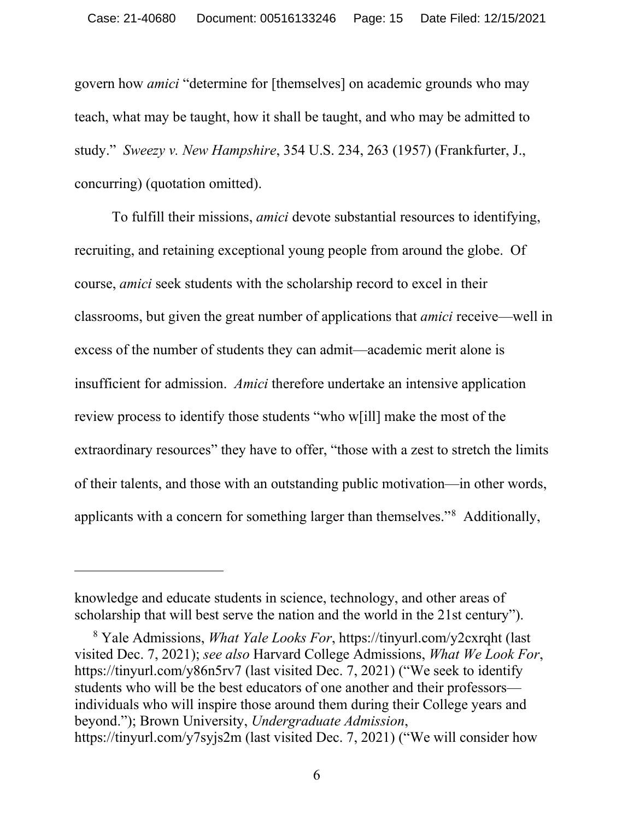govern how *amici* "determine for [themselves] on academic grounds who may teach, what may be taught, how it shall be taught, and who may be admitted to study." *Sweezy v. New Hampshire*, 354 U.S. 234, 263 (1957) (Frankfurter, J., concurring) (quotation omitted).

To fulfill their missions, *amici* devote substantial resources to identifying, recruiting, and retaining exceptional young people from around the globe. Of course, *amici* seek students with the scholarship record to excel in their classrooms, but given the great number of applications that *amici* receive—well in excess of the number of students they can admit—academic merit alone is insufficient for admission. *Amici* therefore undertake an intensive application review process to identify those students "who w[ill] make the most of the extraordinary resources" they have to offer, "those with a zest to stretch the limits of their talents, and those with an outstanding public motivation—in other words, applicants with a concern for something larger than themselves."[8](#page-16-0) Additionally,

<span id="page-14-0"></span>knowledge and educate students in science, technology, and other areas of scholarship that will best serve the nation and the world in the 21st century").

<span id="page-14-1"></span><sup>8</sup> Yale Admissions, *What Yale Looks For*, https://tinyurl.com/y2cxrqht (last visited Dec. 7, 2021); *see also* Harvard College Admissions, *What We Look For*, https://tinyurl.com/y86n5rv7 (last visited Dec. 7, 2021) ("We seek to identify students who will be the best educators of one another and their professors individuals who will inspire those around them during their College years and beyond."); Brown University, *Undergraduate Admission*, https://tinyurl.com/y7syjs2m (last visited Dec. 7, 2021) ("We will consider how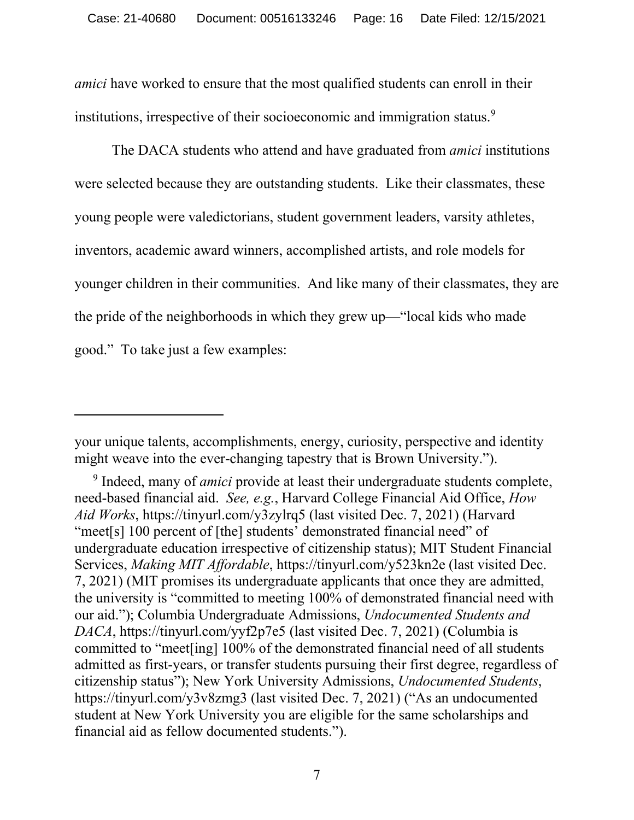*amici* have worked to ensure that the most qualified students can enroll in their institutions, irrespective of their socioeconomic and immigration status.<sup>[9](#page-17-0)</sup>

<span id="page-15-0"></span>The DACA students who attend and have graduated from *amici* institutions were selected because they are outstanding students. Like their classmates, these young people were valedictorians, student government leaders, varsity athletes, inventors, academic award winners, accomplished artists, and role models for younger children in their communities. And like many of their classmates, they are the pride of the neighborhoods in which they grew up—"local kids who made good." To take just a few examples:

your unique talents, accomplishments, energy, curiosity, perspective and identity might weave into the ever-changing tapestry that is Brown University.").

<span id="page-15-1"></span><sup>9</sup> Indeed, many of *amici* provide at least their undergraduate students complete, need-based financial aid. *See, e.g.*, Harvard College Financial Aid Office, *How Aid Works*, https://tinyurl.com/y3zylrq5 (last visited Dec. 7, 2021) (Harvard "meet<sup>[s]</sup> 100 percent of [the] students' demonstrated financial need" of undergraduate education irrespective of citizenship status); MIT Student Financial Services, *Making MIT Affordable*, https://tinyurl.com/y523kn2e (last visited Dec. 7, 2021) (MIT promises its undergraduate applicants that once they are admitted, the university is "committed to meeting 100% of demonstrated financial need with our aid."); Columbia Undergraduate Admissions, *Undocumented Students and DACA*, https://tinyurl.com/yyf2p7e5 (last visited Dec. 7, 2021) (Columbia is committed to "meet[ing] 100% of the demonstrated financial need of all students admitted as first-years, or transfer students pursuing their first degree, regardless of citizenship status"); New York University Admissions, *Undocumented Students*, https://tinyurl.com/y3v8zmg3 (last visited Dec. 7, 2021) ("As an undocumented student at New York University you are eligible for the same scholarships and financial aid as fellow documented students.").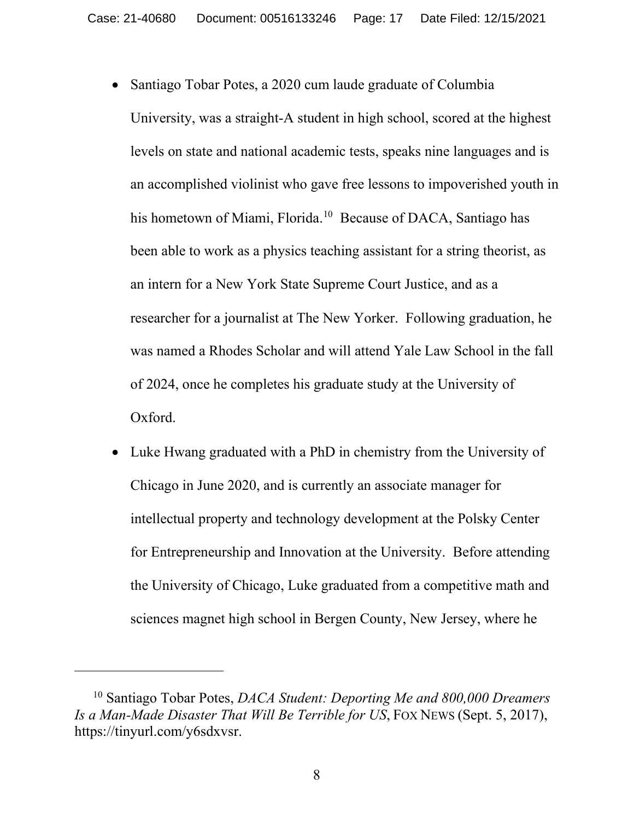- Santiago Tobar Potes, a 2020 cum laude graduate of Columbia University, was a straight-A student in high school, scored at the highest levels on state and national academic tests, speaks nine languages and is an accomplished violinist who gave free lessons to impoverished youth in his hometown of Miami, Florida.<sup>10</sup> Because of DACA, Santiago has been able to work as a physics teaching assistant for a string theorist, as an intern for a New York State Supreme Court Justice, and as a researcher for a journalist at The New Yorker. Following graduation, he was named a Rhodes Scholar and will attend Yale Law School in the fall of 2024, once he completes his graduate study at the University of Oxford.
- Luke Hwang graduated with a PhD in chemistry from the University of Chicago in June 2020, and is currently an associate manager for intellectual property and technology development at the Polsky Center for Entrepreneurship and Innovation at the University. Before attending the University of Chicago, Luke graduated from a competitive math and sciences magnet high school in Bergen County, New Jersey, where he

<span id="page-16-0"></span><sup>10</sup> Santiago Tobar Potes, *DACA Student: Deporting Me and 800,000 Dreamers Is a Man-Made Disaster That Will Be Terrible for US*, FOX NEWS (Sept. 5, 2017), https://tinyurl.com/y6sdxvsr.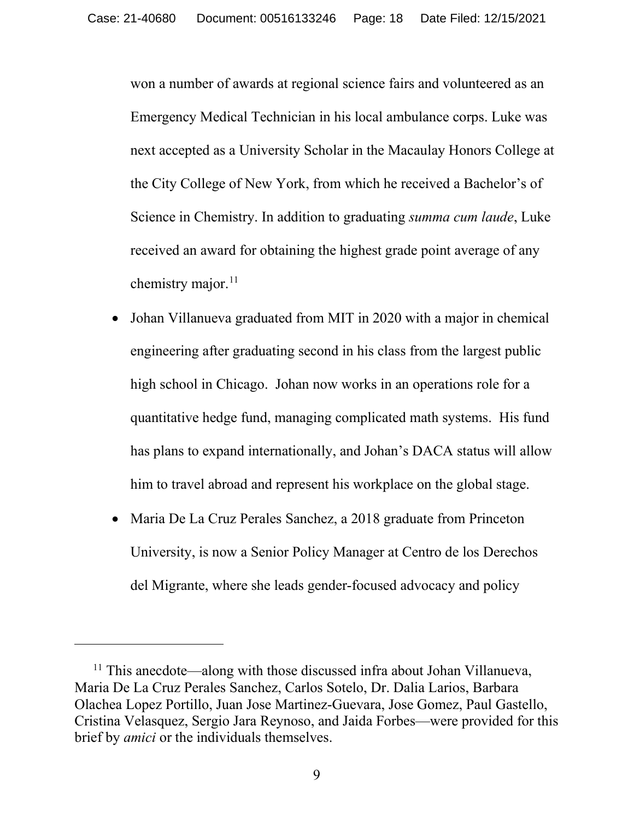won a number of awards at regional science fairs and volunteered as an Emergency Medical Technician in his local ambulance corps. Luke was next accepted as a University Scholar in the Macaulay Honors College at the City College of New York, from which he received a Bachelor's of Science in Chemistry. In addition to graduating *summa cum laude*, Luke received an award for obtaining the highest grade point average of any chemistry major.<sup>[11](#page-19-0)</sup>

- <span id="page-17-0"></span>• Johan Villanueva graduated from MIT in 2020 with a major in chemical engineering after graduating second in his class from the largest public high school in Chicago. Johan now works in an operations role for a quantitative hedge fund, managing complicated math systems. His fund has plans to expand internationally, and Johan's DACA status will allow him to travel abroad and represent his workplace on the global stage.
- Maria De La Cruz Perales Sanchez, a 2018 graduate from Princeton University, is now a Senior Policy Manager at Centro de los Derechos del Migrante, where she leads gender-focused advocacy and policy

<sup>&</sup>lt;sup>11</sup> This anecdote—along with those discussed infra about Johan Villanueva, Maria De La Cruz Perales Sanchez, Carlos Sotelo, Dr. Dalia Larios, Barbara Olachea Lopez Portillo, Juan Jose Martinez-Guevara, Jose Gomez, Paul Gastello, Cristina Velasquez, Sergio Jara Reynoso, and Jaida Forbes—were provided for this brief by *amici* or the individuals themselves.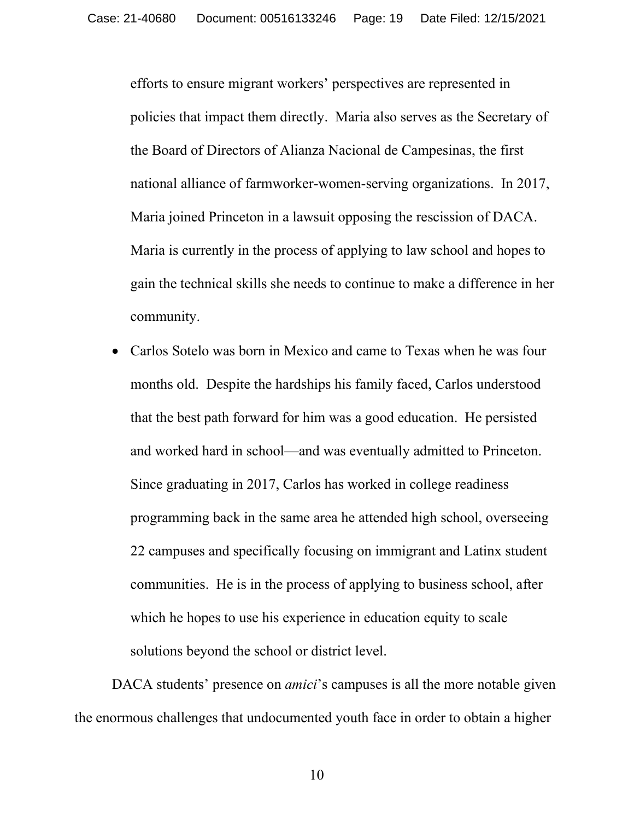efforts to ensure migrant workers' perspectives are represented in policies that impact them directly. Maria also serves as the Secretary of the Board of Directors of Alianza Nacional de Campesinas, the first national alliance of farmworker-women-serving organizations. In 2017, Maria joined Princeton in a lawsuit opposing the rescission of DACA. Maria is currently in the process of applying to law school and hopes to gain the technical skills she needs to continue to make a difference in her community.

• Carlos Sotelo was born in Mexico and came to Texas when he was four months old. Despite the hardships his family faced, Carlos understood that the best path forward for him was a good education. He persisted and worked hard in school—and was eventually admitted to Princeton. Since graduating in 2017, Carlos has worked in college readiness programming back in the same area he attended high school, overseeing 22 campuses and specifically focusing on immigrant and Latinx student communities. He is in the process of applying to business school, after which he hopes to use his experience in education equity to scale solutions beyond the school or district level.

<span id="page-18-0"></span>DACA students' presence on *amici*'s campuses is all the more notable given the enormous challenges that undocumented youth face in order to obtain a higher

10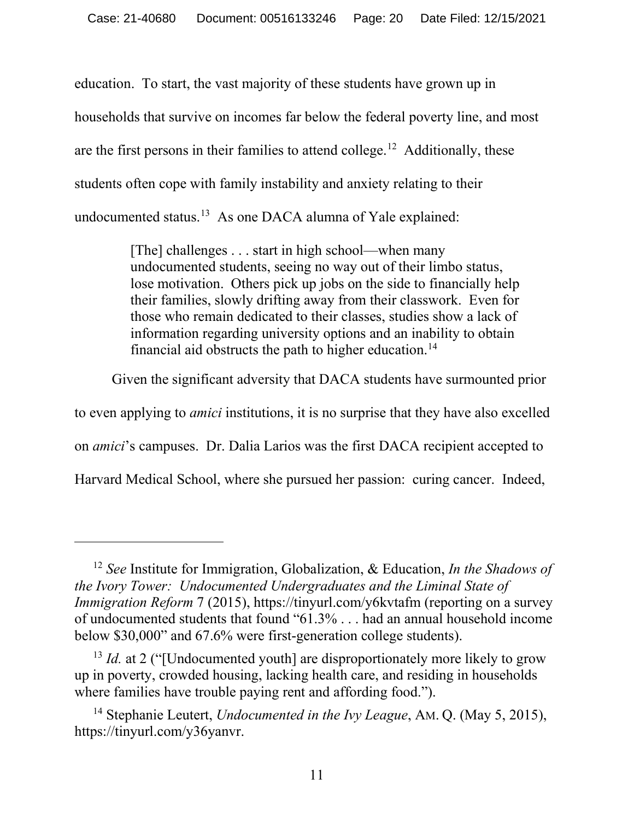education. To start, the vast majority of these students have grown up in households that survive on incomes far below the federal poverty line, and most are the first persons in their families to attend college.<sup>[12](#page-21-0)</sup> Additionally, these students often cope with family instability and anxiety relating to their undocumented status.[13](#page-21-1) As one DACA alumna of Yale explained:

> [The] challenges . . . start in high school—when many undocumented students, seeing no way out of their limbo status, lose motivation. Others pick up jobs on the side to financially help their families, slowly drifting away from their classwork. Even for those who remain dedicated to their classes, studies show a lack of information regarding university options and an inability to obtain financial aid obstructs the path to higher education.<sup>14</sup>

Given the significant adversity that DACA students have surmounted prior

to even applying to *amici* institutions, it is no surprise that they have also excelled

on *amici*'s campuses. Dr. Dalia Larios was the first DACA recipient accepted to

Harvard Medical School, where she pursued her passion: curing cancer. Indeed,

<sup>12</sup> *See* Institute for Immigration, Globalization, & Education, *In the Shadows of the Ivory Tower: Undocumented Undergraduates and the Liminal State of Immigration Reform* 7 (2015), https://tinyurl.com/y6kvtafm (reporting on a survey of undocumented students that found "61.3% . . . had an annual household income below \$30,000" and 67.6% were first-generation college students).

<span id="page-19-0"></span><sup>&</sup>lt;sup>13</sup> *Id.* at 2 ("[Undocumented youth] are disproportionately more likely to grow up in poverty, crowded housing, lacking health care, and residing in households where families have trouble paying rent and affording food.").

<sup>14</sup> Stephanie Leutert, *Undocumented in the Ivy League*, AM. Q. (May 5, 2015), https://tinyurl.com/y36yanvr.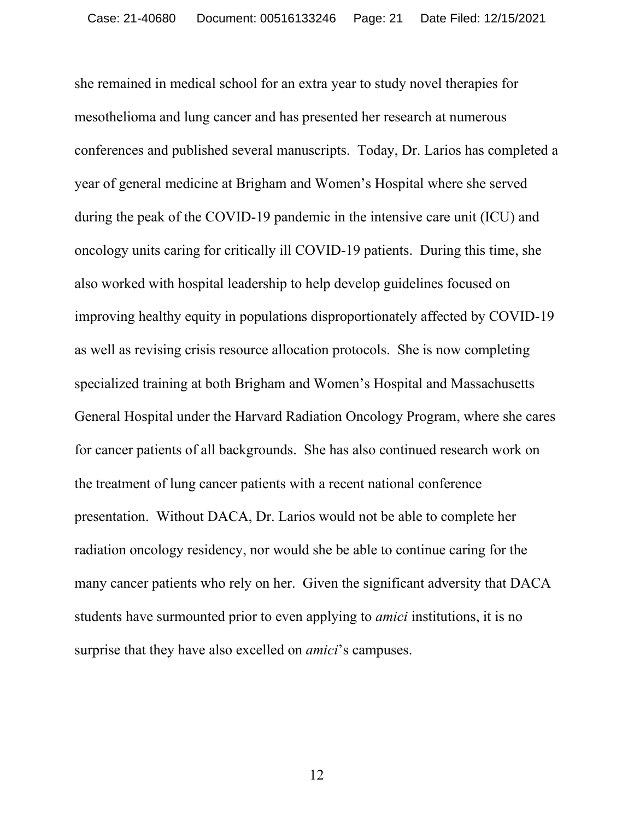she remained in medical school for an extra year to study novel therapies for mesothelioma and lung cancer and has presented her research at numerous conferences and published several manuscripts. Today, Dr. Larios has completed a year of general medicine at Brigham and Women's Hospital where she served during the peak of the COVID-19 pandemic in the intensive care unit (ICU) and oncology units caring for critically ill COVID-19 patients. During this time, she also worked with hospital leadership to help develop guidelines focused on improving healthy equity in populations disproportionately affected by COVID-19 as well as revising crisis resource allocation protocols. She is now completing specialized training at both Brigham and Women's Hospital and Massachusetts General Hospital under the Harvard Radiation Oncology Program, where she cares for cancer patients of all backgrounds. She has also continued research work on the treatment of lung cancer patients with a recent national conference presentation. Without DACA, Dr. Larios would not be able to complete her radiation oncology residency, nor would she be able to continue caring for the many cancer patients who rely on her. Given the significant adversity that DACA students have surmounted prior to even applying to *amici* institutions, it is no surprise that they have also excelled on *amici*'s campuses.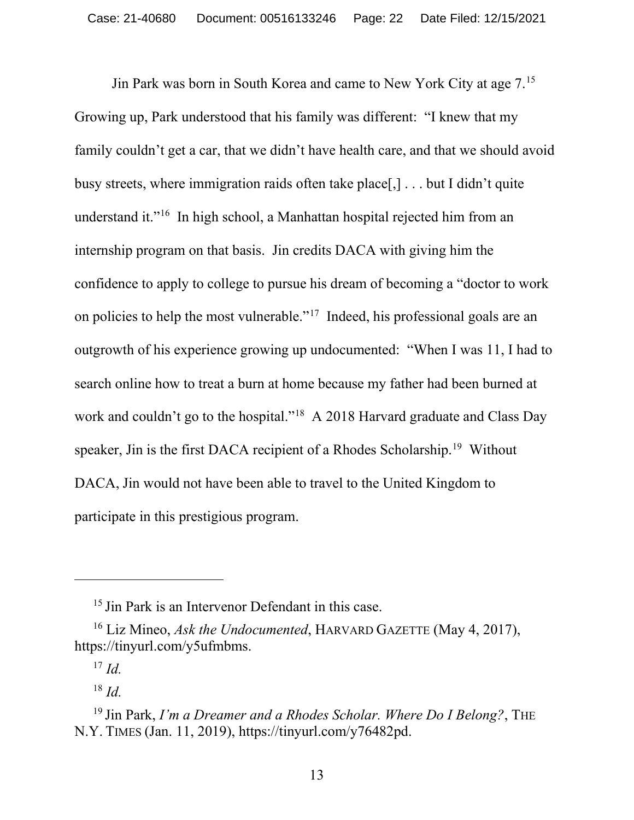Jin Park was born in South Korea and came to New York City at age 7.[15](#page-23-0) Growing up, Park understood that his family was different: "I knew that my family couldn't get a car, that we didn't have health care, and that we should avoid busy streets, where immigration raids often take place[,] . . . but I didn't quite understand it."[16](#page-23-1) In high school, a Manhattan hospital rejected him from an internship program on that basis. Jin credits DACA with giving him the confidence to apply to college to pursue his dream of becoming a "doctor to work on policies to help the most vulnerable."[17](#page-24-0) Indeed, his professional goals are an outgrowth of his experience growing up undocumented: "When I was 11, I had to search online how to treat a burn at home because my father had been burned at work and couldn't go to the hospital."<sup>[18](#page-24-1)</sup> A 2018 Harvard graduate and Class Day speaker, Jin is the first DACA recipient of a Rhodes Scholarship.<sup>[19](#page-24-2)</sup> Without DACA, Jin would not have been able to travel to the United Kingdom to participate in this prestigious program.

<span id="page-21-0"></span><sup>&</sup>lt;sup>15</sup> Jin Park is an Intervenor Defendant in this case.

<sup>16</sup> Liz Mineo, *Ask the Undocumented*, HARVARD GAZETTE (May 4, 2017), https://tinyurl.com/y5ufmbms.

<sup>17</sup> *Id.*

<sup>18</sup> *Id.*

<span id="page-21-1"></span><sup>19</sup> Jin Park, *I'm a Dreamer and a Rhodes Scholar. Where Do I Belong?*, THE N.Y. TIMES (Jan. 11, 2019), https://tinyurl.com/y76482pd.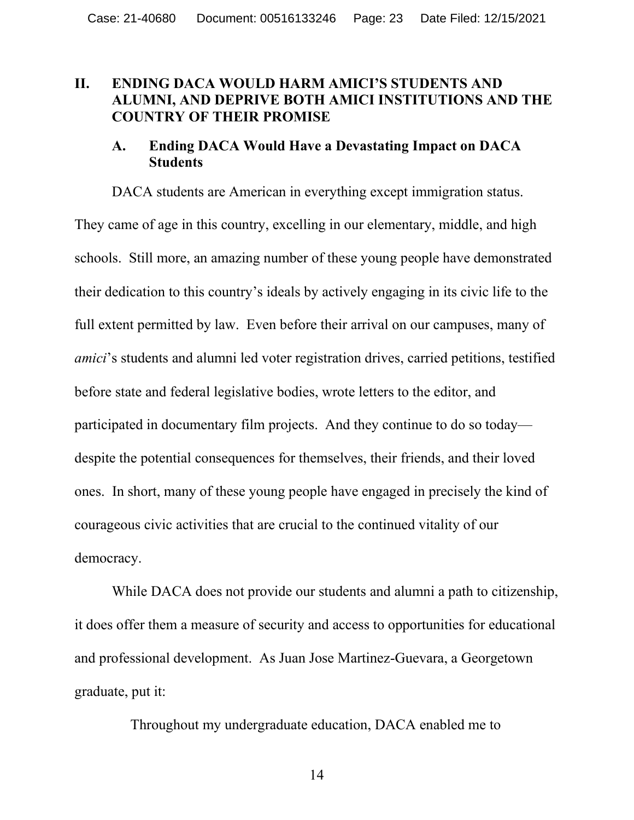#### <span id="page-22-0"></span>**II. ENDING DACA WOULD HARM AMICI'S STUDENTS AND ALUMNI, AND DEPRIVE BOTH AMICI INSTITUTIONS AND THE COUNTRY OF THEIR PROMISE**

## <span id="page-22-1"></span>**A. Ending DACA Would Have a Devastating Impact on DACA Students**

DACA students are American in everything except immigration status. They came of age in this country, excelling in our elementary, middle, and high schools. Still more, an amazing number of these young people have demonstrated their dedication to this country's ideals by actively engaging in its civic life to the full extent permitted by law. Even before their arrival on our campuses, many of *amici*'s students and alumni led voter registration drives, carried petitions, testified before state and federal legislative bodies, wrote letters to the editor, and participated in documentary film projects. And they continue to do so today despite the potential consequences for themselves, their friends, and their loved ones. In short, many of these young people have engaged in precisely the kind of courageous civic activities that are crucial to the continued vitality of our democracy.

<span id="page-22-2"></span>While DACA does not provide our students and alumni a path to citizenship, it does offer them a measure of security and access to opportunities for educational and professional development. As Juan Jose Martinez-Guevara, a Georgetown graduate, put it:

Throughout my undergraduate education, DACA enabled me to

14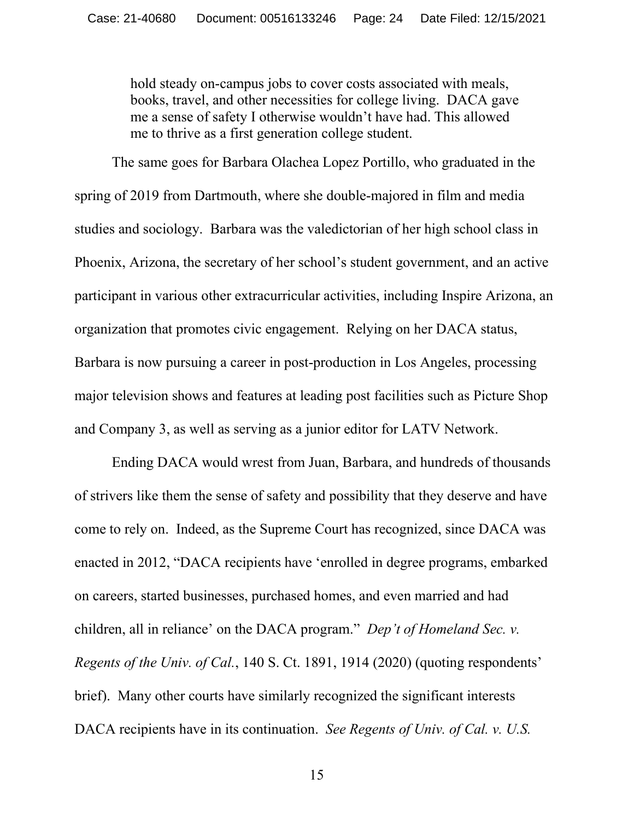hold steady on-campus jobs to cover costs associated with meals, books, travel, and other necessities for college living. DACA gave me a sense of safety I otherwise wouldn't have had. This allowed me to thrive as a first generation college student.

The same goes for Barbara Olachea Lopez Portillo, who graduated in the spring of 2019 from Dartmouth, where she double-majored in film and media studies and sociology. Barbara was the valedictorian of her high school class in Phoenix, Arizona, the secretary of her school's student government, and an active participant in various other extracurricular activities, including Inspire Arizona, an organization that promotes civic engagement. Relying on her DACA status, Barbara is now pursuing a career in post-production in Los Angeles, processing major television shows and features at leading post facilities such as Picture Shop and Company 3, as well as serving as a junior editor for LATV Network.

<span id="page-23-1"></span><span id="page-23-0"></span>Ending DACA would wrest from Juan, Barbara, and hundreds of thousands of strivers like them the sense of safety and possibility that they deserve and have come to rely on. Indeed, as the Supreme Court has recognized, since DACA was enacted in 2012, "DACA recipients have 'enrolled in degree programs, embarked on careers, started businesses, purchased homes, and even married and had children, all in reliance' on the DACA program." *Dep't of Homeland Sec. v. Regents of the Univ. of Cal.*, 140 S. Ct. 1891, 1914 (2020) (quoting respondents' brief). Many other courts have similarly recognized the significant interests DACA recipients have in its continuation. *See Regents of Univ. of Cal. v. U.S.*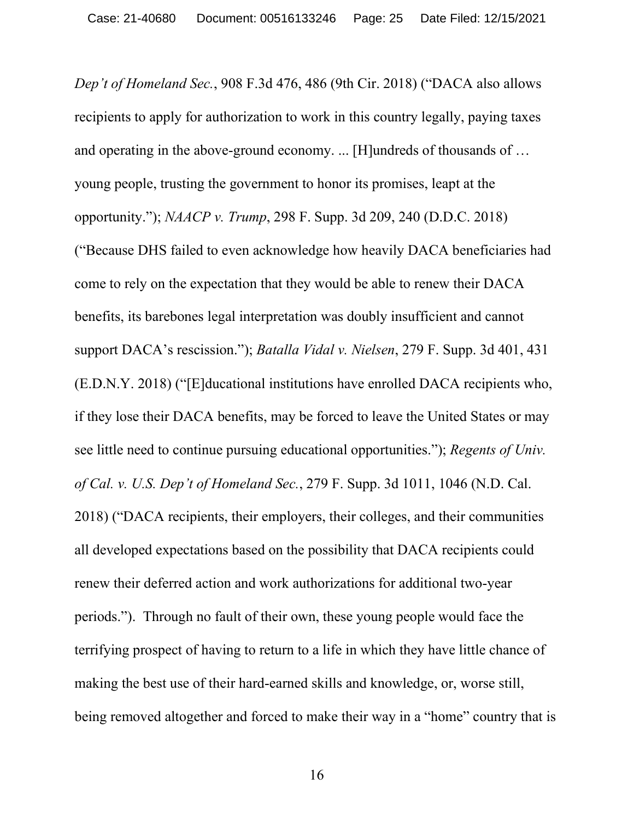<span id="page-24-2"></span><span id="page-24-1"></span><span id="page-24-0"></span>*Dep't of Homeland Sec.*, 908 F.3d 476, 486 (9th Cir. 2018) ("DACA also allows recipients to apply for authorization to work in this country legally, paying taxes and operating in the above-ground economy. ... [H]undreds of thousands of … young people, trusting the government to honor its promises, leapt at the opportunity."); *NAACP v. Trump*, 298 F. Supp. 3d 209, 240 (D.D.C. 2018) ("Because DHS failed to even acknowledge how heavily DACA beneficiaries had come to rely on the expectation that they would be able to renew their DACA benefits, its barebones legal interpretation was doubly insufficient and cannot support DACA's rescission."); *Batalla Vidal v. Nielsen*, 279 F. Supp. 3d 401, 431 (E.D.N.Y. 2018) ("[E]ducational institutions have enrolled DACA recipients who, if they lose their DACA benefits, may be forced to leave the United States or may see little need to continue pursuing educational opportunities."); *Regents of Univ. of Cal. v. U.S. Dep't of Homeland Sec.*, 279 F. Supp. 3d 1011, 1046 (N.D. Cal. 2018) ("DACA recipients, their employers, their colleges, and their communities all developed expectations based on the possibility that DACA recipients could renew their deferred action and work authorizations for additional two-year periods."). Through no fault of their own, these young people would face the terrifying prospect of having to return to a life in which they have little chance of making the best use of their hard-earned skills and knowledge, or, worse still, being removed altogether and forced to make their way in a "home" country that is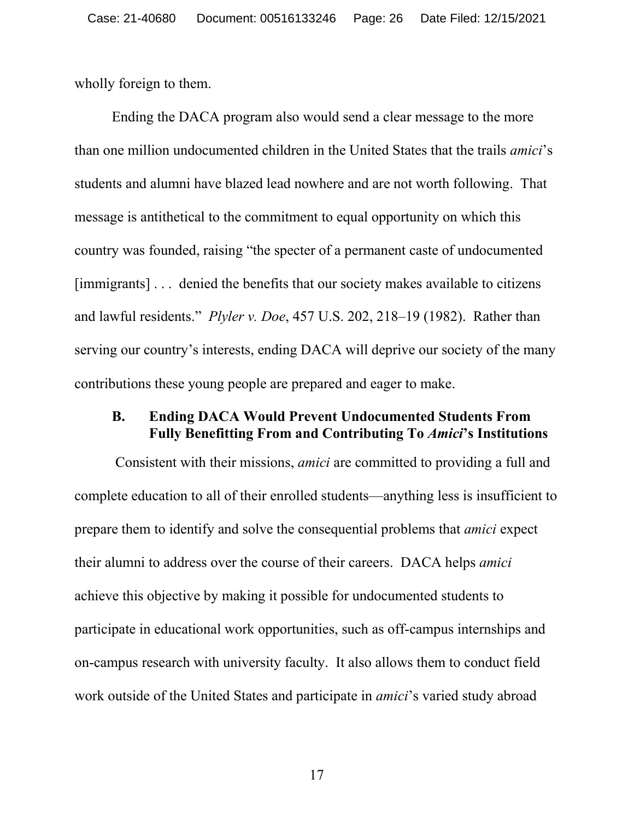wholly foreign to them.

Ending the DACA program also would send a clear message to the more than one million undocumented children in the United States that the trails *amici*'s students and alumni have blazed lead nowhere and are not worth following. That message is antithetical to the commitment to equal opportunity on which this country was founded, raising "the specter of a permanent caste of undocumented [immigrants] . . . denied the benefits that our society makes available to citizens and lawful residents." *Plyler v. Doe*, 457 U.S. 202, 218–19 (1982). Rather than serving our country's interests, ending DACA will deprive our society of the many contributions these young people are prepared and eager to make.

#### <span id="page-25-0"></span>**B. Ending DACA Would Prevent Undocumented Students From Fully Benefitting From and Contributing To** *Amici***'s Institutions**

Consistent with their missions, *amici* are committed to providing a full and complete education to all of their enrolled students—anything less is insufficient to prepare them to identify and solve the consequential problems that *amici* expect their alumni to address over the course of their careers. DACA helps *amici* achieve this objective by making it possible for undocumented students to participate in educational work opportunities, such as off-campus internships and on-campus research with university faculty. It also allows them to conduct field work outside of the United States and participate in *amici*'s varied study abroad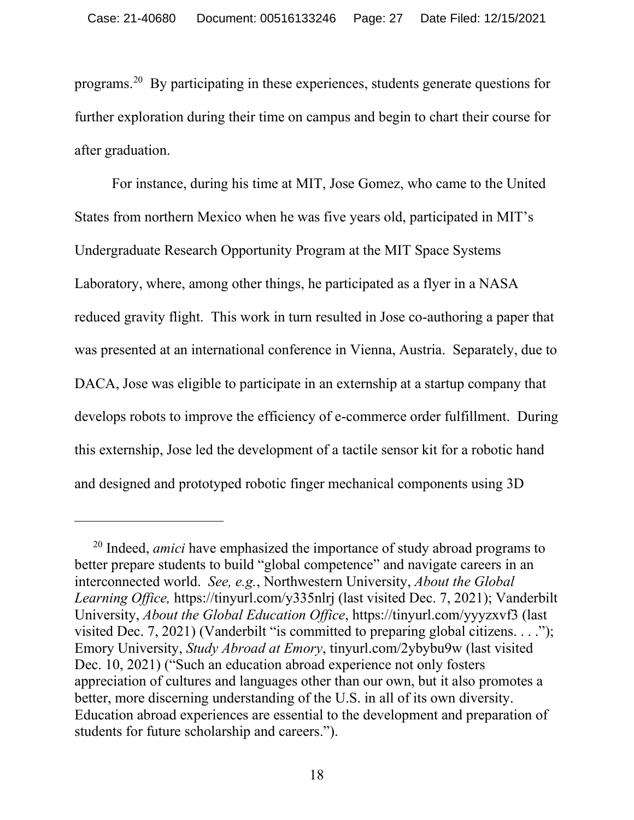programs.[20](#page-29-1) By participating in these experiences, students generate questions for further exploration during their time on campus and begin to chart their course for after graduation.

For instance, during his time at MIT, Jose Gomez, who came to the United States from northern Mexico when he was five years old, participated in MIT's Undergraduate Research Opportunity Program at the MIT Space Systems Laboratory, where, among other things, he participated as a flyer in a NASA reduced gravity flight. This work in turn resulted in Jose co-authoring a paper that was presented at an international conference in Vienna, Austria. Separately, due to DACA, Jose was eligible to participate in an externship at a startup company that develops robots to improve the efficiency of e-commerce order fulfillment. During this externship, Jose led the development of a tactile sensor kit for a robotic hand and designed and prototyped robotic finger mechanical components using 3D

<sup>20</sup> Indeed, *amici* have emphasized the importance of study abroad programs to better prepare students to build "global competence" and navigate careers in an interconnected world. *See, e.g.*, Northwestern University, *About the Global Learning Office,* https://tinyurl.com/y335nlrj (last visited Dec. 7, 2021); Vanderbilt University, *About the Global Education Office*, https://tinyurl.com/yyyzxvf3 (last visited Dec. 7, 2021) (Vanderbilt "is committed to preparing global citizens. . . ."); Emory University, *Study Abroad at Emory*, tinyurl.com/2ybybu9w (last visited Dec. 10, 2021) ("Such an education abroad experience not only fosters appreciation of cultures and languages other than our own, but it also promotes a better, more discerning understanding of the U.S. in all of its own diversity. Education abroad experiences are essential to the development and preparation of students for future scholarship and careers.").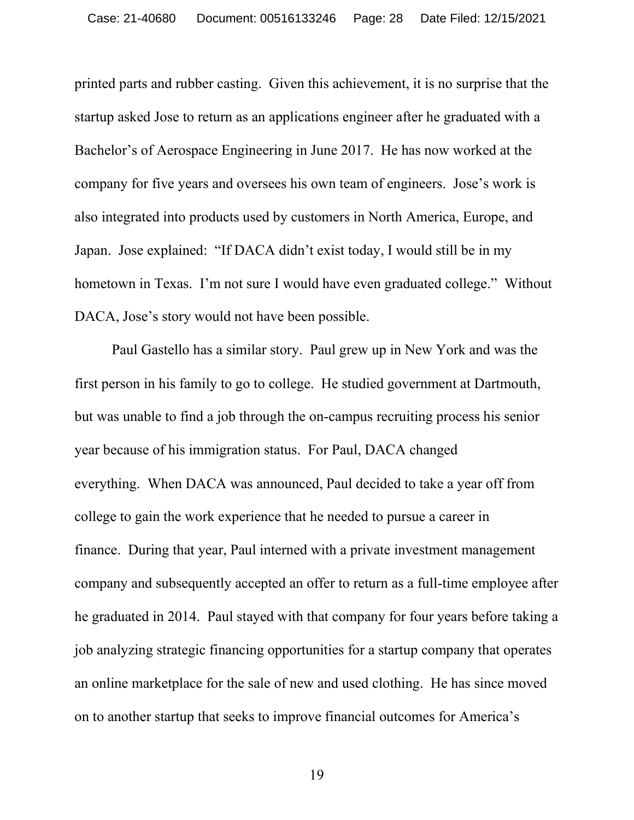printed parts and rubber casting. Given this achievement, it is no surprise that the startup asked Jose to return as an applications engineer after he graduated with a Bachelor's of Aerospace Engineering in June 2017. He has now worked at the company for five years and oversees his own team of engineers. Jose's work is also integrated into products used by customers in North America, Europe, and Japan. Jose explained: "If DACA didn't exist today, I would still be in my hometown in Texas. I'm not sure I would have even graduated college." Without DACA, Jose's story would not have been possible.

Paul Gastello has a similar story. Paul grew up in New York and was the first person in his family to go to college. He studied government at Dartmouth, but was unable to find a job through the on-campus recruiting process his senior year because of his immigration status. For Paul, DACA changed everything. When DACA was announced, Paul decided to take a year off from college to gain the work experience that he needed to pursue a career in finance. During that year, Paul interned with a private investment management company and subsequently accepted an offer to return as a full-time employee after he graduated in 2014. Paul stayed with that company for four years before taking a job analyzing strategic financing opportunities for a startup company that operates an online marketplace for the sale of new and used clothing. He has since moved on to another startup that seeks to improve financial outcomes for America's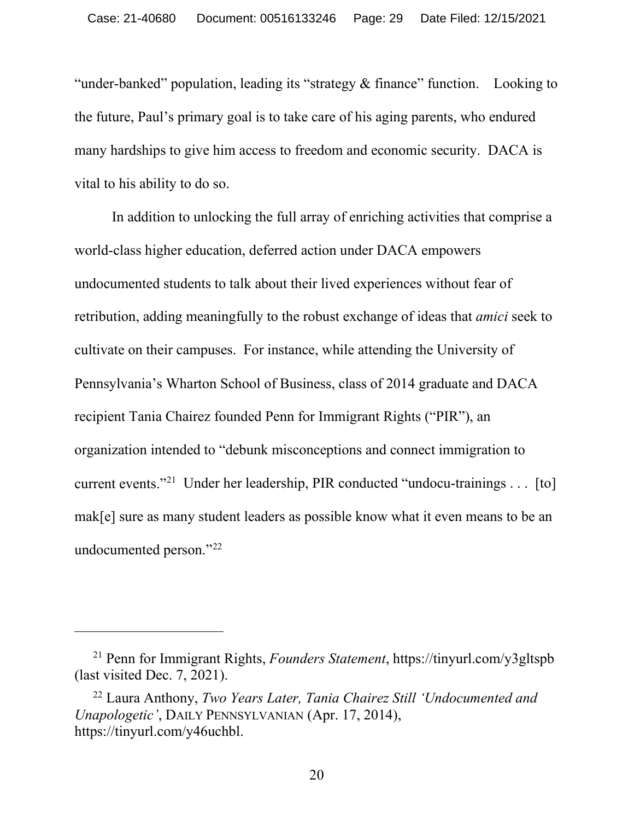"under-banked" population, leading its "strategy & finance" function. Looking to the future, Paul's primary goal is to take care of his aging parents, who endured many hardships to give him access to freedom and economic security. DACA is vital to his ability to do so.

In addition to unlocking the full array of enriching activities that comprise a world-class higher education, deferred action under DACA empowers undocumented students to talk about their lived experiences without fear of retribution, adding meaningfully to the robust exchange of ideas that *amici* seek to cultivate on their campuses. For instance, while attending the University of Pennsylvania's Wharton School of Business, class of 2014 graduate and DACA recipient Tania Chairez founded Penn for Immigrant Rights ("PIR"), an organization intended to "debunk misconceptions and connect immigration to current events."[21](#page-32-0) Under her leadership, PIR conducted "undocu-trainings . . . [to] mak[e] sure as many student leaders as possible know what it even means to be an undocumented person."[22](#page-32-1)

<sup>21</sup> Penn for Immigrant Rights, *Founders Statement*, https://tinyurl.com/y3gltspb (last visited Dec. 7, 2021).

<sup>22</sup> Laura Anthony, *Two Years Later, Tania Chairez Still 'Undocumented and Unapologetic'*, DAILY PENNSYLVANIAN (Apr. 17, 2014), https://tinyurl.com/y46uchbl.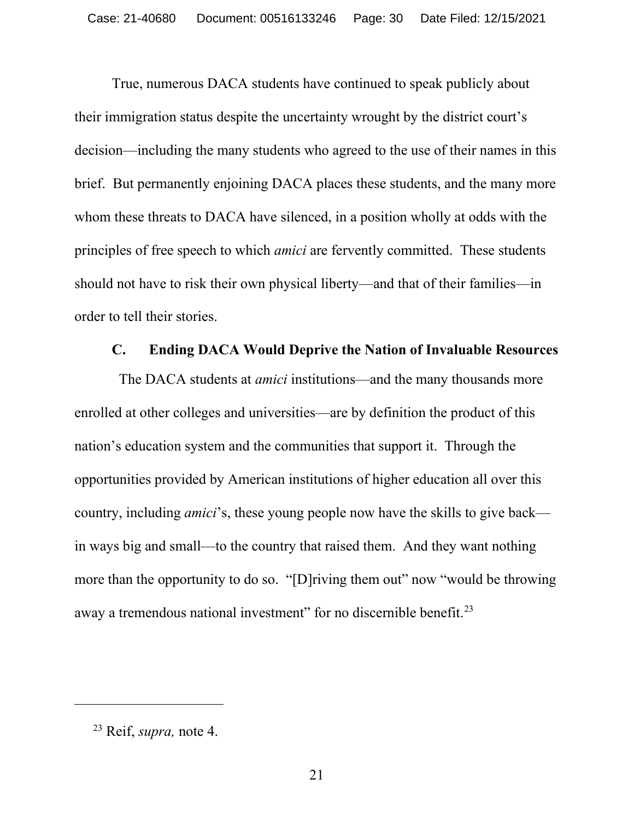True, numerous DACA students have continued to speak publicly about their immigration status despite the uncertainty wrought by the district court's decision—including the many students who agreed to the use of their names in this brief. But permanently enjoining DACA places these students, and the many more whom these threats to DACA have silenced, in a position wholly at odds with the principles of free speech to which *amici* are fervently committed. These students should not have to risk their own physical liberty—and that of their families—in order to tell their stories.

#### **C. Ending DACA Would Deprive the Nation of Invaluable Resources**

<span id="page-29-1"></span><span id="page-29-0"></span> The DACA students at *amici* institutions—and the many thousands more enrolled at other colleges and universities—are by definition the product of this nation's education system and the communities that support it. Through the opportunities provided by American institutions of higher education all over this country, including *amici*'s, these young people now have the skills to give back in ways big and small—to the country that raised them. And they want nothing more than the opportunity to do so. "[D]riving them out" now "would be throwing away a tremendous national investment" for no discernible benefit.<sup>23</sup>

<sup>23</sup> Reif, *supra,* note 4.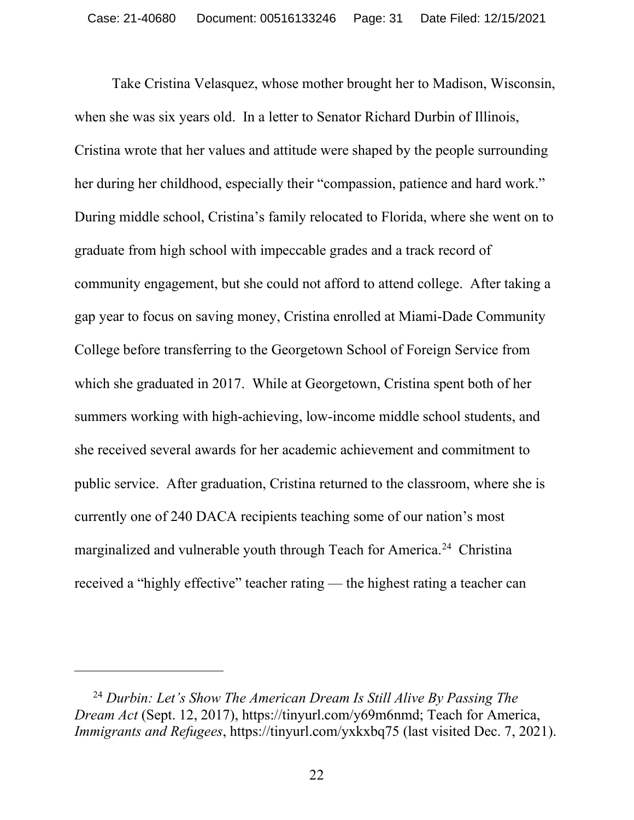Take Cristina Velasquez, whose mother brought her to Madison, Wisconsin, when she was six years old. In a letter to Senator Richard Durbin of Illinois, Cristina wrote that her values and attitude were shaped by the people surrounding her during her childhood, especially their "compassion, patience and hard work." During middle school, Cristina's family relocated to Florida, where she went on to graduate from high school with impeccable grades and a track record of community engagement, but she could not afford to attend college. After taking a gap year to focus on saving money, Cristina enrolled at Miami-Dade Community College before transferring to the Georgetown School of Foreign Service from which she graduated in 2017. While at Georgetown, Cristina spent both of her summers working with high-achieving, low-income middle school students, and she received several awards for her academic achievement and commitment to public service. After graduation, Cristina returned to the classroom, where she is currently one of 240 DACA recipients teaching some of our nation's most marginalized and vulnerable youth through Teach for America.<sup>[24](#page-34-1)</sup> Christina received a "highly effective" teacher rating — the highest rating a teacher can

<sup>24</sup> *Durbin: Let's Show The American Dream Is Still Alive By Passing The Dream Act* (Sept. 12, 2017), https://tinyurl.com/y69m6nmd; Teach for America, *Immigrants and Refugees*, https://tinyurl.com/yxkxbq75 (last visited Dec. 7, 2021).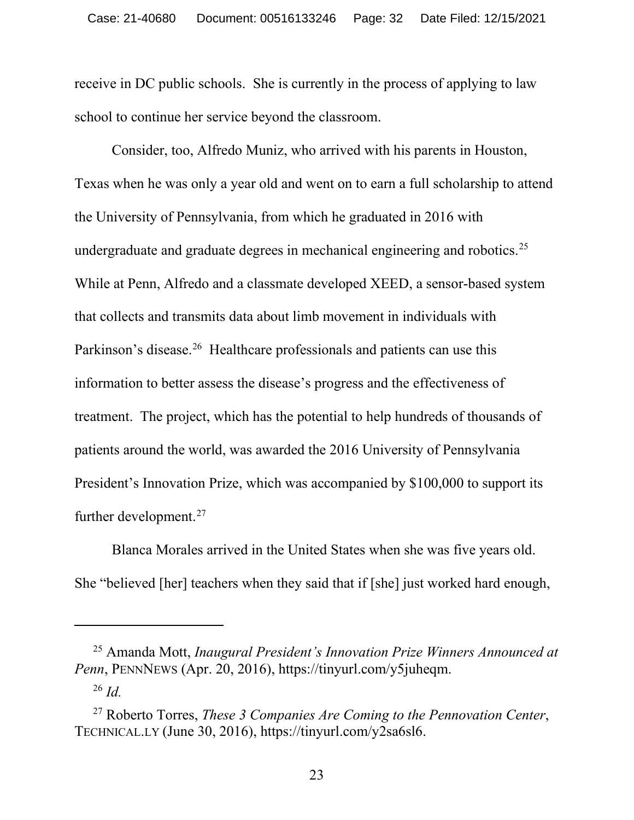receive in DC public schools. She is currently in the process of applying to law school to continue her service beyond the classroom.

Consider, too, Alfredo Muniz, who arrived with his parents in Houston, Texas when he was only a year old and went on to earn a full scholarship to attend the University of Pennsylvania, from which he graduated in 2016 with undergraduate and graduate degrees in mechanical engineering and robotics.<sup>[25](#page-34-2)</sup> While at Penn, Alfredo and a classmate developed XEED, a sensor-based system that collects and transmits data about limb movement in individuals with Parkinson's disease.<sup>[26](#page-35-0)</sup> Healthcare professionals and patients can use this information to better assess the disease's progress and the effectiveness of treatment. The project, which has the potential to help hundreds of thousands of patients around the world, was awarded the 2016 University of Pennsylvania President's Innovation Prize, which was accompanied by \$100,000 to support its further development.[27](#page-35-1)

Blanca Morales arrived in the United States when she was five years old. She "believed [her] teachers when they said that if [she] just worked hard enough,

<sup>25</sup> Amanda Mott, *Inaugural President's Innovation Prize Winners Announced at Penn*, PENNNEWS (Apr. 20, 2016), https://tinyurl.com/y5juheqm. <sup>26</sup> *Id.*

<sup>27</sup> Roberto Torres, *These 3 Companies Are Coming to the Pennovation Center*, TECHNICAL.LY (June 30, 2016), https://tinyurl.com/y2sa6sl6.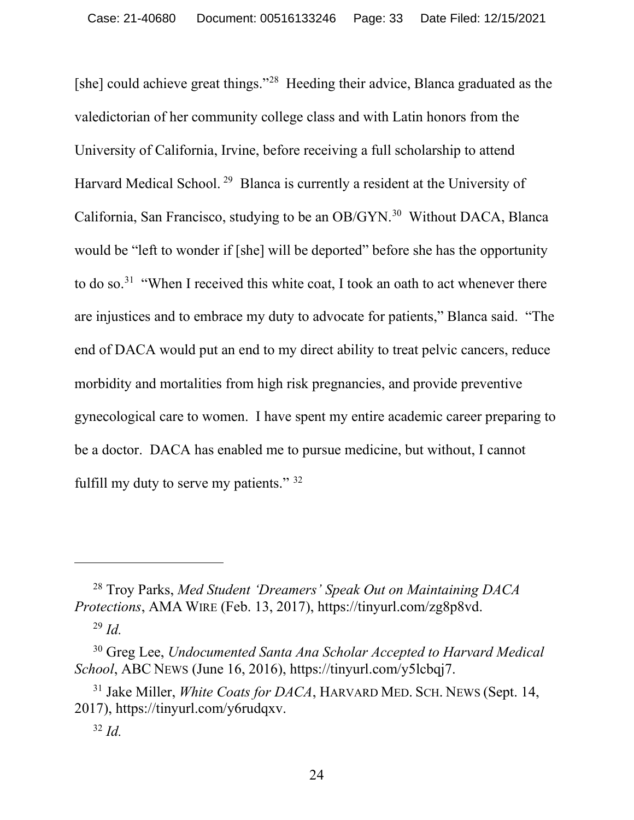[she] could achieve great things."<sup>[28](#page-35-2)</sup> Heeding their advice, Blanca graduated as the valedictorian of her community college class and with Latin honors from the University of California, Irvine, before receiving a full scholarship to attend Harvard Medical School. [29](#page-36-0) Blanca is currently a resident at the University of California, San Francisco, studying to be an OB/GYN.<sup>30</sup> Without DACA, Blanca would be "left to wonder if [she] will be deported" before she has the opportunity to do so.<sup>31</sup> "When I received this white coat, I took an oath to act whenever there are injustices and to embrace my duty to advocate for patients," Blanca said. "The end of DACA would put an end to my direct ability to treat pelvic cancers, reduce morbidity and mortalities from high risk pregnancies, and provide preventive gynecological care to women. I have spent my entire academic career preparing to be a doctor. DACA has enabled me to pursue medicine, but without, I cannot fulfill my duty to serve my patients." [32](#page-36-3)

<span id="page-32-0"></span><sup>28</sup> Troy Parks, *Med Student 'Dreamers' Speak Out on Maintaining DACA Protections*, AMA WIRE (Feb. 13, 2017), https://tinyurl.com/zg8p8vd.

<sup>29</sup> *Id.*

<span id="page-32-1"></span><sup>30</sup> Greg Lee, *Undocumented Santa Ana Scholar Accepted to Harvard Medical School*, ABC NEWS (June 16, 2016), https://tinyurl.com/y5lcbqj7.

<sup>31</sup> Jake Miller, *White Coats for DACA*, HARVARD MED. SCH. NEWS (Sept. 14, 2017), https://tinyurl.com/y6rudqxv.

<sup>32</sup> *Id.*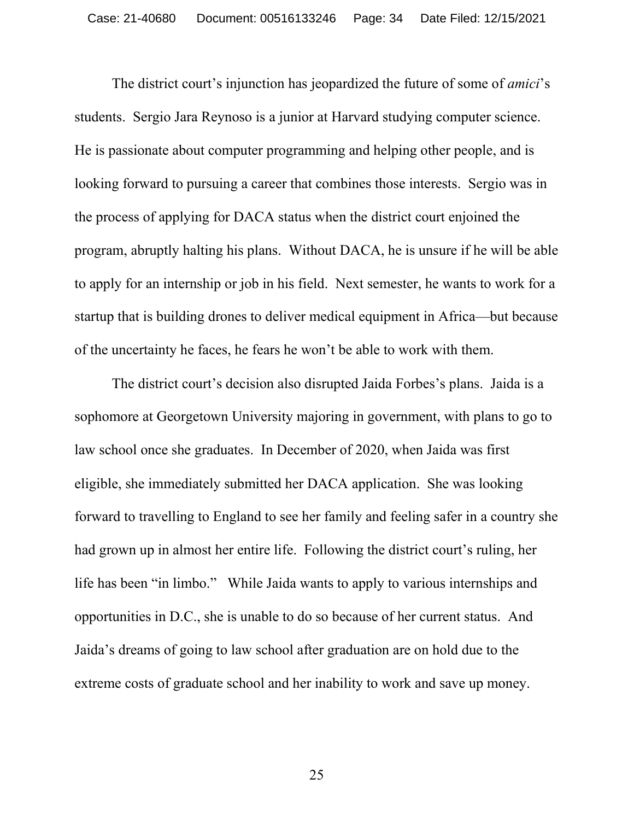The district court's injunction has jeopardized the future of some of *amici*'s students. Sergio Jara Reynoso is a junior at Harvard studying computer science. He is passionate about computer programming and helping other people, and is looking forward to pursuing a career that combines those interests. Sergio was in the process of applying for DACA status when the district court enjoined the program, abruptly halting his plans. Without DACA, he is unsure if he will be able to apply for an internship or job in his field. Next semester, he wants to work for a startup that is building drones to deliver medical equipment in Africa—but because of the uncertainty he faces, he fears he won't be able to work with them.

<span id="page-33-0"></span>The district court's decision also disrupted Jaida Forbes's plans. Jaida is a sophomore at Georgetown University majoring in government, with plans to go to law school once she graduates. In December of 2020, when Jaida was first eligible, she immediately submitted her DACA application. She was looking forward to travelling to England to see her family and feeling safer in a country she had grown up in almost her entire life. Following the district court's ruling, her life has been "in limbo." While Jaida wants to apply to various internships and opportunities in D.C., she is unable to do so because of her current status. And Jaida's dreams of going to law school after graduation are on hold due to the extreme costs of graduate school and her inability to work and save up money.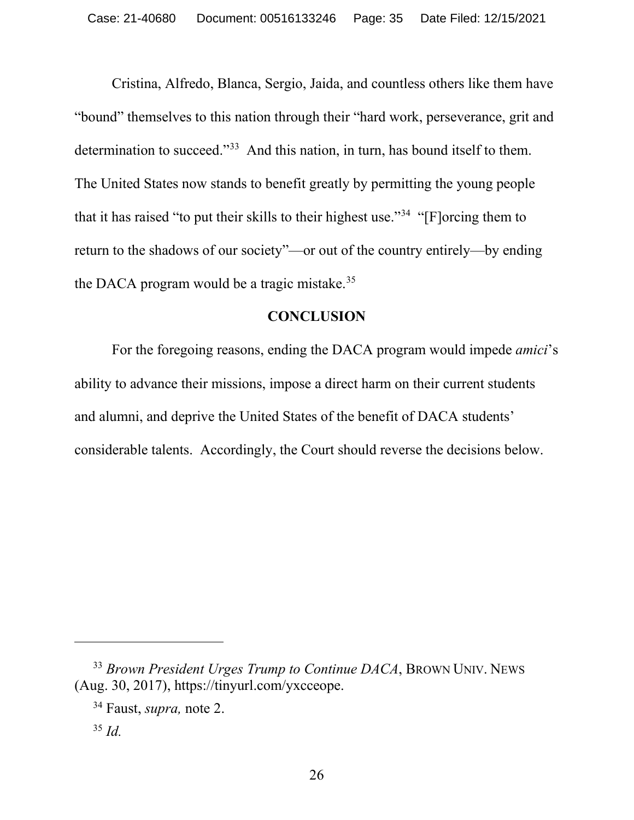Cristina, Alfredo, Blanca, Sergio, Jaida, and countless others like them have "bound" themselves to this nation through their "hard work, perseverance, grit and determination to succeed."<sup>[33](#page-37-0)</sup> And this nation, in turn, has bound itself to them. The United States now stands to benefit greatly by permitting the young people that it has raised "to put their skills to their highest use.["34](#page-37-1) "[F]orcing them to return to the shadows of our society"—or out of the country entirely—by ending the DACA program would be a tragic mistake.<sup>[35](#page-37-2)</sup>

## **CONCLUSION**

<span id="page-34-1"></span><span id="page-34-0"></span>For the foregoing reasons, ending the DACA program would impede *amici*'s ability to advance their missions, impose a direct harm on their current students and alumni, and deprive the United States of the benefit of DACA students' considerable talents. Accordingly, the Court should reverse the decisions below.

<span id="page-34-2"></span><sup>33</sup> *Brown President Urges Trump to Continue DACA*, BROWN UNIV. NEWS (Aug. 30, 2017), https://tinyurl.com/yxcceope.

<sup>34</sup> Faust, *supra,* note 2.

<sup>35</sup> *Id.*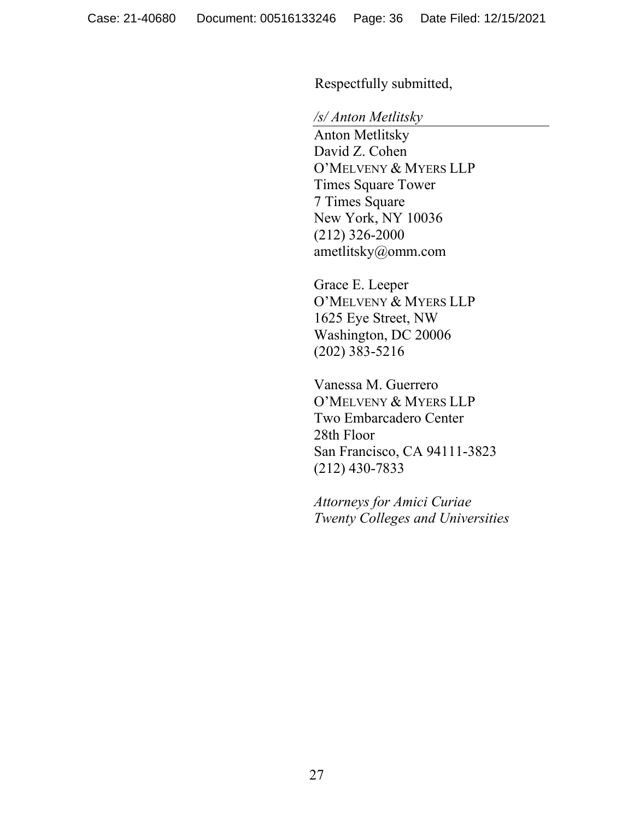Respectfully submitted,

#### */s/ Anton Metlitsky*

Anton Metlitsky David Z. Cohen O'MELVENY & MYERS LLP Times Square Tower 7 Times Square New York, NY 10036 (212) 326-2000 ametlitsky@omm.com

Grace E. Leeper O'MELVENY & MYERS LLP 1625 Eye Street, NW Washington, DC 20006 (202) 383-5216

Vanessa M. Guerrero O'MELVENY & MYERS LLP Two Embarcadero Center 28th Floor San Francisco, CA 94111-3823 (212) 430-7833

<span id="page-35-2"></span><span id="page-35-1"></span><span id="page-35-0"></span>*Attorneys for Amici Curiae Twenty Colleges and Universities*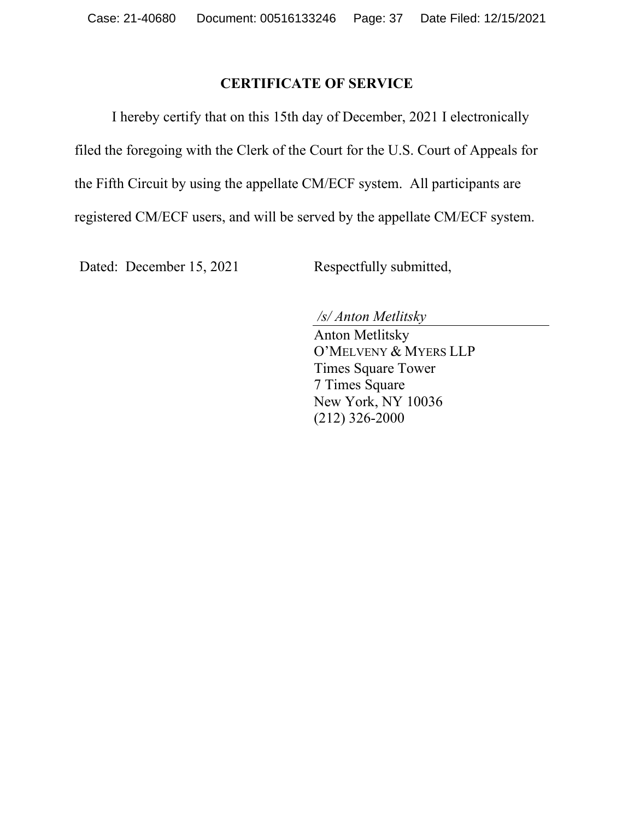## **CERTIFICATE OF SERVICE**

I hereby certify that on this 15th day of December, 2021 I electronically filed the foregoing with the Clerk of the Court for the U.S. Court of Appeals for the Fifth Circuit by using the appellate CM/ECF system. All participants are registered CM/ECF users, and will be served by the appellate CM/ECF system.

<span id="page-36-3"></span><span id="page-36-2"></span><span id="page-36-1"></span><span id="page-36-0"></span>Dated: December 15, 2021 Respectfully submitted,

*/s/ Anton Metlitsky* 

Anton Metlitsky O'MELVENY & MYERS LLP Times Square Tower 7 Times Square New York, NY 10036 (212) 326-2000